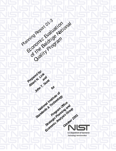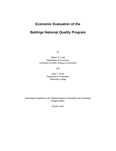# **Economic Evaluation of the**

# **Baldrige National Quality Program**

by

Albert N. Link Department of Economics University of North Carolina at Greensboro

and

John T. Scott Department of Economics Dartmouth College

Final Report Submitted to the National Institute of Standards and Technology Program Office

October 2001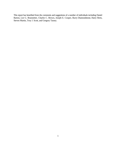This report has benefited from the comments and suggestions of a number of individuals including Daniel Barton, Lee G. Branstetter, Charles C. Brown, Joseph E. Cooper, Barry Diamondstone, Harry Hertz, Steven Martin, Troy J. Scott, and Gregory Tassey.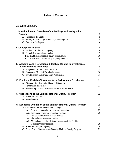# **Table of Contents**

| <b>Executive Summary</b> |                                                                    | $\overline{4}$ |
|--------------------------|--------------------------------------------------------------------|----------------|
|                          | I. Introduction and Overview of the Baldrige National Quality      |                |
|                          | Program                                                            | 5              |
|                          | A. Purpose of the Study                                            | 5              |
|                          | B. History of the Baldrige National Quality Program                | $\mathfrak{S}$ |
|                          | C. Outline of the Report                                           | 6              |
|                          | <b>II. Concepts of Quality</b>                                     | 8              |
|                          | A. Evolution of Ideas about Quality                                | $\,8\,$        |
|                          | B. Formalizing Ideas about Quality                                 | 9              |
|                          | B.1. Traditional sources of quality improvement                    | 10             |
|                          | B.2. Broad-based sources of quality improvement                    | 10             |
|                          | III. Academic and Professional Literature Related to Investments   |                |
|                          | in Performance Excellence                                          | 15             |
|                          | A. Fragmented Nature of the Literature                             | 15             |
|                          | B. Conceptual Model of Firm Performance                            | 16             |
|                          | C. Investments in Quality and Firm Performance                     | 17             |
|                          | IV. Empirical Models of Investments in Performance Excellence      | 21             |
|                          | A. Attributes Specified in the Baldrige Criteria for               |                |
|                          | Performance Excellence                                             | 21             |
|                          | B. Relationship between Attributes and Firm Performance            | 21             |
|                          | V. Applications to the Baldrige National Quality Program           | 22             |
|                          | A. Trends in Applications                                          | 22             |
|                          | <b>B.</b> Award Winners                                            | 22             |
|                          | VI. Economic Evaluation of the Baldrige National Quality Program   | 25             |
|                          | A. Overview of the Evaluation Methodology                          | 25             |
|                          | A.1. Systemic approaches to program evaluation                     | 25             |
|                          | A.2. Traditional economic evaluation methods                       | 26             |
|                          | A.3. The counterfactual evaluation method                          | 27             |
|                          | A.4. The spillover evaluation method                               | 27             |
|                          | A.5. Methodology applicable to an evaluation of the Baldrige       |                |
|                          | <b>National Quality Program</b>                                    | 28             |
|                          | B. American Society for Quality                                    | 29             |
|                          | C. Social Costs of Operating the Baldrige National Quality Program | 29             |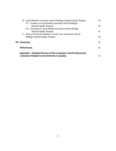| D. Social Benefits Associated with the Baldrige National Quality Program | 30 |
|--------------------------------------------------------------------------|----|
| D.1. Evidence of social benefits associated with the Baldrige            |    |
| <b>National Quality Program</b>                                          | 30 |
| D.2. Estimation of social benefits associated with the Baldrige          |    |
| <b>National Quality Program</b>                                          | 31 |
| E. Ratio of Net Social Benefits to Social Costs Associated with the      |    |
| <b>Baldrige National Quality Program</b>                                 | 38 |
|                                                                          |    |
| VII. Summary                                                             | 45 |
| <b>References</b>                                                        | 46 |
|                                                                          |    |
| Appendix: Detailed Review of the Academic and Professional               |    |
| <b>Literature Related to Investments in Quality</b>                      | 53 |

**VII.**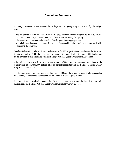## **Executive Summary**

This study is an economic evaluation of the Baldrige National Quality Program. Specifically, the analysis assesses:

- − the net private benefits associated with the Baldrige National Quality Program to the U.S. private and public sector organizational members of the American Society for Quality,
- − via generalization, the net social benefits of the Program in the aggregate, and
- − the relationship between economy-wide net benefits traceable and the social costs associated with operating the Program.

Based on information collected from a mail survey of the U.S. organizational members of the American Society for Quality (ASQ), the conservative estimate of the present value (in constant 2000 dollars) of the net private benefits associated with the Baldrige National Quality Program is \$2.17 billion.

If the entire economy benefits to the same extent as the ASQ members, the conservative estimate of the present value (in constant 2000 dollars) of social benefits associated with the Baldrige National Quality Program is \$24.65 billion.

Based on information provided by the Baldrige National Quality Program, the present value (in constant 2000 dollars) of social costs associated with the Program to date is \$119 million.

Therefore, from an evaluation perspective for the economy as a whole, the benefit-to-cost ratio characterizing the Baldrige National Quality Program is conservatively 207-to-1.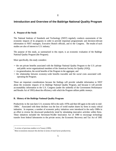## **Introduction and Overview of the Baldrige National Quality Program**

## **A. Purpose of the Study**

The National Institute of Standards and Technology (NIST) regularly conducts assessments of the economic impacts of its programs in order to provide important programmatic and decision-relevant information to NIST managers, Executive Branch officials, and to the Congress. The results of such studies are also of interest to U.S. industry.<sup>1</sup>

The purpose of this study, as summarized in this report, is an economic evaluation of the Baldrige National Quality Program (the Program).

More specifically, this study considers:

- − the net private benefits associated with the Baldrige National Quality Program to the U.S. private and public sector organizational members of the American Society for Quality (ASQ),
- − via generalization, the social benefits of the Program in the aggregate, and
- − the relationship between economy-wide benefits traceable and the social costs associated with operating the Program.

These are important considerations because the findings will provide valuable information to NIST about the economic impacts of its Baldrige National Quality Program, and because it will provide accountability information to the U.S. Congress (under the umbrella of the Government Performance and Results Act of 1993) about the efficiency with which the Program utilizes public moneys.

### **B. History of the Baldrige National Quality Program**

Productivity in the non-farm U.S. economy fell in the early-1970s and then fell again in the early to mid-1980s.<sup>2</sup> Associated with these declines was the loss of world market shares by firms in many critical industries. In response, a number of economic policy initiatives were introduced in the early-1980s in an effort to reverse the downward productivity trend by stimulating innovative activities within firms. These initiatives included the Stevenson-Wydler Innovation Act of 1980 to encourage technology transfer from federal laboratories to the private sector, the Economic Recovery and Tax Act of 1981

<sup>1</sup> A review of previous studies is in Tassey (1999).

 $2^{2}$  Most economists measure this decline in terms of total factor productivity.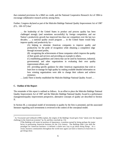that contained provisions for a R&E tax credit, and the National Cooperative Research Act of 1984 to encourage collaborative research activity among firms.

Further, Congress declared as part of the Malcolm Baldrige National Quality Improvement Act of 1987  $(P.L. 100-107)$  that:

… the leadership of the United States in product and process quality has been challenged strongly (and sometimes successfully) by foreign competition, and our Nation's productivity growth has improved less than our competitors over the last two decades; … a national quality award program … in the United States would help improve quality and productivity by—

(A) helping to stimulate American companies to improve quality and productivity for the pride of recognition while obtaining a competitive edge through increased profits,

(B) recognizing the achievements of those companies which improve the quality of their goods and services and providing an example to others,

(C) establishing guidelines and criteria that can be used by businesses, industrial, governmental, and other organizations in evaluating their own quality improvement efforts, and

(D) providing specific guidance for other American organizations that wish to learn how to manage for high quality by making available detailed information on how winning organizations were able to change their cultures and achieve eminence.

… [and] There is hereby established the Malcolm Baldrige National Quality Award …

### **C. Outline of the Report**

 $\overline{a}$ 

The remainder of this report is outlined as follows. In an effort to place the Malcolm Baldrige National Quality Improvement Act of 1987 and the Malcolm Baldrige National Quality Award in a performance management/quality improvement perspective, alternative concepts of quality are described in Section II.

In Section III, a conceptual model of investments in quality by the firm is presented, and the associated literature regarding such investments is reviewed in the context of the conceptual model.

<sup>3</sup> As Townsend and Gebhardt (1996) explain, the origins of the Baldrige Award grew from "alarm over the Japanese challenge to the American economy" (p. 6), and they conclude (p. 13):

<sup>[</sup>T]he Baldrige will retain its position of importance, a position earned by being perhaps the major factor in positioning American business for the 21st century. The Baldrige didn't just shift the paradigm for American business—it defined a whole new way to go about doing things. As a result, business communities throughout the world once again can look to America to learn how to get things done.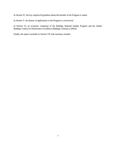In Section IV, the key empirical hypothesis about the benefits of the Program is stated.

In Section V, the history of applications to the Program is overviewed.

In Section VI, an economic evaluation of the Baldrige National Quality Program and the related Baldrige Criteria for Performance Excellence (Baldrige Criteria) is offered.

Finally, the report concludes in Section VII with summary remarks.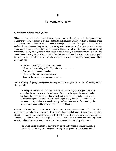## **II**

## **Concepts of Quality**

#### **A. Evolution of Ideas about Quality**

Although a long history of managerial interest in the concept of quality exists; the systematic and comprehensive view of quality, in the sense of the Baldrige National Quality Program, is of recent origin. Juran (1995) provides one historical treatment of concepts related to the management of quality in a number of countries—reaching far back into history with chapters on quality management in ancient China, ancient Israel, ancient Greece, and ancient Rome, as well as other early civilizations, yet documenting quality management in more recent times including in twentieth-century Japan and the United States. Juran (1995, p. 630) concludes from his historical overview that new forces emerged in the twentieth century and that these forces have required a revolution in quality management. These new forces are:

- − Greater complexity and precision of products
- − Threats to human safety and health, and to the environment
- − Government regulation of quality
- − The rise of the consumerism movement
- − Intensified international competition in quality

Despite a history of quality management reaching back into antiquity, in the twentieth century (Juran, 1995, p. 630):

Technological measures of quality did exist on the shop floors, but managerial measures of quality did not exist in the boardrooms. So, except in Japan, the needed quality revolution did not start until very late in the twentieth century. To make that revolution effective throughout the world economies will require many decades—the entire twentyfirst century. So, while the twentieth century has been the Century of Productivity, the twenty-first century will be known as the Century of Quality.

Reimann and Hertz (1993) capture the shift from narrow to comprehensive views of quality and the necessary managerial efforts to ensure it. They explain that the globalization of markets and associated international competition provided the impetus for the shift toward comprehensive quality management strategies that integrate company-wide pursuit of operational excellence rather than relegating quality issues to traditional forms of product inspection. Reimann and Hertz (1993, p. 43) observe:

The United States and much of the world are in the early stages of a major transition in how work and quality are managed—moving from quality as a narrowly-defined,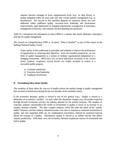separate function managed at lower organizational levels [e.g., on shop floors], to quality integrated within all work units and with overall business management [e.g., in boardrooms]. The success of this transition depends on numerous factors not well addressed within traditional quality: executive-level leadership and involvement, empowerment, rapid deployment of changing requirements, management of innovation, management of diversity, and customer-focused planning and operations.

Table II-1 summarizes the information in Juran (1995) in a manner that clearly illustrates a descriptive time line for quality management.

The Council on Competitiveness (1995, p. 3) asked, "What is Quality?" as part of their report on the Baldrige National Quality Award:

Today quality is best understood as principles and methods to improve the performance of organizations in achieving their objectives. From the broadest perspectives, we can think of quality management as a system to facilitate organizational [adaptation] to a changing environment. *While there are no fixed definitions of quality in the United States* [authors' emphasis], several factors are widely accepted as central to a successful quality program:

- 1) Customer satisfaction
- 2) Executive-level leadership
- 3) Employee involvement.

### **B. Formalizing Ideas about Quality**

The evolution of ideas about the *sources* of quality mirrors the marked change in quality management that occurred in boardrooms during the last two decades of the twentieth century.

In the economics literature, quality is viewed in one of two general ways. Quality is viewed as a dimension of an industry's product. As such, when this dimension changes (e.g., the product improves through focused investment activity), the industry demand for the product increases. The simplest of economic analyses conceptualizes the results of investments in quality in terms of an increase in an industry demand schedule. The more complex analyses, which fall under the rubric of the "quality ladder" literature, envision industry demand increases over time in response to continued investments in quality, and such sequential shifts are, for mathematical convenience, indexed by numerical intervals (hence the concept of a ladder). Alternatively, quality is viewed as an indirect activity that affects industry productivity. With either view, the economics literature emphasizes sources of investments that lead to quality.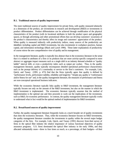#### **B.1. Traditional sources of quality improvement**

The more traditional sources of quality improvement for private firms, with quality measured abstractly as a dimension of the product, are investments in research and development (R&D) or investments in product differentiation. Product differentiation can be achieved through modification of the physical characteristics of the product (with its locational attributes in both the product space and geographic space), or through advertising and other promotional efforts that can develop customers' awareness of the product's characteristics and thereby affect its image and customers' appreciation of the product. When quality is measured indirectly with productivity indices, many sources of the productivity are identified, including capital and R&D investments, but also investments in workplace practices, human capital, and information technology (Black and Lynch 1996). These latter explanations of productivity of course mirror the new comprehensive view of quality and its management.

In the management literature, quality is typically less abstract than in the economics literature in the sense that it is related to attributes of a firm or its products that are more activity-specific compared to more abstract or aggregate impact measures such as a single shift in an industry demand schedule or "quality ladder" interval shift, or even a productivity index such as output per worker. Thus, in the quality management literature, quality typically encompasses detailed operational performance characteristics such as the prompt delivery of a commodity or service to the firm's customers. For example, Link, Quick, and Tassey (1991, p. 473) find that the firms typically agree that quality is defined by "performance levels, performance stability, reliability and longevity." Simply put, quality is "conformance and/or fitness for use" and, in the quality management literature, the measures of performance and fitness are non-conceptual operational business indicators.

While the economics literature typically links quality to R&D investment, the management literature typically focuses not only on the amount of the R&D investment, but also on the manner in which the R&D investment is implemented. The economics literature typically assumes that the method of implementation is the optimal one and then proceeds to work out the implications of the investment, such as R&D, for economic performance. In contrast, the quality management literature typically works to understand what in fact would be the optimal method of implementation for R&D investment.

#### **B.2. Broad-based sources of quality improvement**

Further, the quality management literature frequently looks at a much broader set of quality investments than does the economics literature. Thus, while the economics literature focuses on R&D investments, the quality management literature considers the investments in quality within the several major budget categories of the firm. For example, Link, Quick, and Tassey (1991) discover from their survey of firms in the optical fiber industry the relative importance of various functional objectives of quality assurance programs. U.S. firms dominated the optical fiber industry in the early 1990s, and they allocated substantially more—three to four times as much, as a percentage, of their budgets—of their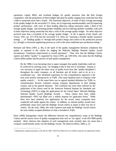operations, capital, R&D, and overhead budgets for quality assurance than did their foreign competitors, with the proportions of these budgets allocated for quality ranging from somewhat less than a fifth to somewhat more than a fourth. The functional objectives, in order of their average percentage of the quality budget for the successful U.S. firms, are (i) improving manufacturability and (ii) improving product performance, with each of these leading objectives taking somewhat under a third of the average quality budget, (iii) increasing product reliability and (iv) reducing attribute variability, with each of these objectives taking somewhat less than a sixth of the average quality budget. No other objective received more than a twentieth of the average quality budget. In all, it appears (Link, Quick, and Tassey 1991, pp. 473-474) that the successful U.S. firms are "pursuing a broader quality assurance strategy … of 'building quality in' through both product design and control of the production process (i.e. through a concurrent engineering process) as well as the more traditional post-production testing."

Reimann and Hertz (1993, p. 46), in the spirit of the quality management literature, emphasize that quality as captured in the criteria for judging the Malcolm Baldrige National Quality Award encompasses "continuous improvement in overall operations." Their view that the Baldrige Criteria capture and define "quality" is supported by Juran (1995, pp. 649-650), who states that the Baldrige Criteria define quality and the process of total quality management:

By the 1980s it was becoming clear to upper managers that quality leadership could not be achieved by pecking away—by bringing in this or that tool or technique. Instead, it was necessary to apply the entire array of quality know-how (the "quality disciplines") throughout the entire company—to all functions and all levels—and to do so in a coordinated way. One shorthand expression for this comprehensive approach is the term *total quality management,* or TQM. (The usual Japanese term is company-wide quality control.) … At the outset there was no agreed standard definition for TQM, so communication became confused—among company departments, in their training courses, and in the general literature. This confusion has since been reduced by the publication of the criteria used by the American National Institute for Standards and Technology (NIST) to judge the applications for the United States' Malcolm Baldrige National Quality Award (Baldrige Award) … Those criteria have been widely disseminated—NIST has filled over a million requests for application forms.<sup>4</sup> While there have been relatively few applications for the award, many companies have conducted self-audits against the criteria. In addition, as national quality awards have proliferated, many have used the Baldrige Award criteria as inputs to their own list of criteria. By the early 1990s, this wide exposure had made the Baldrige Award criteria the most widely accepted definition of what is included in TQM.

Hertz (2000) distinguishes clearly the difference between the comprehensive scope of the Baldrige Criteria and the narrow focus of quality management tools such as "six sigma" or the ISO 9000 quality standard. Hertz observes that adoption of such management tools certainly does not mean that a company would thereby easily win the Baldrige Award. He observes (Hertz, 2000, p. 2):

 $4$  Updating the original quotation, note that by 2001, NIST has filled over two million requests for application forms.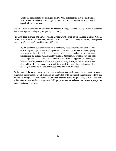Unlike the requirements for six sigma or ISO 9000, organizations that use the Baldrige performance excellence criteria get a true systems perspective to their overall organizational performance.

Table II-2 is an overview of the criteria of the Malcolm Baldrige National Quality Award, as published by the Baldrige National Quality Program (NIST 2001).

Ray Stata (then chairman and CEO of Analog Devices), who served on the Malcolm Baldrige National Quality Award Board of Overseers, encapsulates the definition and theory of quality management succinctly (Council on Competitiveness, 1996, p. 1):

By my definition, quality management is a company-wide system to accelerate the rate of learning and improvement in all aspects of a company's performance. So far, quality management has focused on customer satisfaction, continuous improvement, management by fact and management by process. Management by fact is just that: fact versus opinion. It's dealing with statistics and data as opposed to winging it. Management by process is where every person, every employee, has a customer and deliverables. It's the process by which they work to make those deliveries. The challenge is to understand and continuously improve these processes.

At the start of the new century, performance excellence and performance management encompass continuous improvement of all processes as contrasted with prioritized improvement efforts and response to changing business needs. Rather than focusing mainly on processes, as is the case with earlier views of total quality management, Baldrige performance excellence has a systems perspective about results and processes.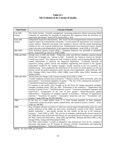## **Table II-1 The Evolution of the Concept of Quality**

| <b>Time Period</b>    | <b>Concepts of Quality</b>                                                                                                                                                                                                                                                                                                                                                                                                                                                                                                                                                                                                                                                                                                                                                                                                                                                                                                                                           |
|-----------------------|----------------------------------------------------------------------------------------------------------------------------------------------------------------------------------------------------------------------------------------------------------------------------------------------------------------------------------------------------------------------------------------------------------------------------------------------------------------------------------------------------------------------------------------------------------------------------------------------------------------------------------------------------------------------------------------------------------------------------------------------------------------------------------------------------------------------------------------------------------------------------------------------------------------------------------------------------------------------|
| Late 19th<br>century  | The Taylor System: "scientific management" increasing production without increasing skilled<br>craftsmen by separating the planning of production (by engineers) from the execution by<br>supervisors and workers. Juran (1973), Juran (1995, p. 555).                                                                                                                                                                                                                                                                                                                                                                                                                                                                                                                                                                                                                                                                                                               |
| Early 20th<br>century | Independent Inspection Departments: The Taylor System damaged human relations and had a<br>negative impact on craftsmanship and quality. Central inspection departments were created to<br>restore balance. Materials and goods were sampled in process with the results determining<br>whether or not a lot of goods would be used. Finished goods were inspected in detail. Quality<br>came to be seen as the responsibility of the inspection department. Juran (1995, p. 555-556).                                                                                                                                                                                                                                                                                                                                                                                                                                                                               |
| Mid-1920s             | Early Statistical Quality Control (SQC): Sampling inspection was grounded in probability<br>theory. Juran (1995, pp. 556-557), AT&T (1989).                                                                                                                                                                                                                                                                                                                                                                                                                                                                                                                                                                                                                                                                                                                                                                                                                          |
| 1940s and 1950s       | Second wave of SQC and ASQC: Production needs and delivery deadlines required during<br>World War II brought new interest in SQC. Eventually the American Society for Quality<br>Control was created. New impetus for SQC resulted in quality control engineering and quality<br>control departments to supervise the inspection department. Eventually functions of<br>inspection, testing, quality control and reliability engineering were housed in the "quality"<br>department" headed by the "quality manager" usually reporting to the vice president for<br>manufacturing. Juran emphasizes the deficiencies of the system in which quality was the top<br>priority of just the quality department rather than the entire organization. Juran (1995, pp. 558-<br>562), Working (1945), Grant (1953), AT&T (1989), Grant (1991), Juran (1991), Wareham and<br>Stratton (1991).                                                                                |
| 1960s and 1970s       | The big forces for change in the concept of quality Juran (1995, p. 630):<br>"Greater complexity and precision of products," "Threats to human safety and health, and to the<br>environment." "Government regulation of quality." "The rise of the consumerism movement."<br>"Intensified international competition in quality."<br>In response to the quality crisis brought on by the forces for change, piecemeal strategies<br>emerged, including (Juran, 1995, pp. 583): "Exhortation of the workforce." "Organization and<br>training of quality circles." "Statistical process control." "Awareness training for managers and<br>supervisors." "Computation of the cost of poor quality." "Project-by-project quality<br>improvement." "Preparation of complete manuals of procedure." "Revision of organization<br>structure." "Incentives for quality." "Automation inspection and test." "Automation and<br>robotics." Juran (1995, pp. 562-581, 630-634.) |
| 1980s                 | In the face of a major quality crisis, U. S. firms focused primarily on three strategies:<br>"exhortation, project-by-project quality improvement, and statistical process control." Juran,<br>(1995, pp. 584-586.)                                                                                                                                                                                                                                                                                                                                                                                                                                                                                                                                                                                                                                                                                                                                                  |
| 1990s                 | Poor strategies and poor execution of valid ones caused largely disappointing results for most<br>quality initiatives in the 1980s, but some firms, including the winners of the NQA, "attained<br>quality leadership  and thereby became the role models for the rest of the American<br>economy." Juran (1995, p. 586). The core list of strategies, embodying the lessons learned in<br>the 1980s about what worked and what did not, for successful pursuit of quality are captured by<br>the NQA criteria described above. Juran (1995, pp. 649-650), Reimann and Hertz (1993, p. 46),<br>George (1992), George and Weimerskirch (1994).<br>The NQA criteria define "a model of integration" that demonstrate "how all of a company's<br>processes and people can be focused on meeting customer requirements and improving<br>operating performance." George and Weimerskirch (1994, p. v.)                                                                    |

**Source:** See Juran (1995, pp. 553-655).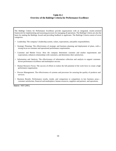## **Table II-2 Overview of the Baldrige Criteria for Performance Excellence**

The Baldrige Criteria for Performance Excellence provide organizations with an integrated, results-oriented framework for implementing and assessing processes for managing all operations. The Baldrige Criteria are also the basis for making the Baldrige Award and providing feedback to applicants. The Baldrige Criteria consist of seven categories:

- Leadership: The company's leadership system, values, expectations, and public responsibilities.
- Strategic Planning: The effectiveness of strategic and business planning and deployment of plans, with a strong focus on customer and operational performance requirements.
- − Customer and Market Focus: How the company determines customer and market requirements and expectations, enhances relationships with customers, and determines their satisfaction.
- − Information and Analysis: The effectiveness of information collection and analysis to support customerdriven performance excellence and marketplace success.
- Human Resource Focus: The success of efforts to realize the full potential of the work force to create a high performance organization.
- Process Management: The effectiveness of systems and processes for assuring the quality of products and services.
- − Business Results: Performance results, trends, and comparison to competitors in key business areas customer satisfaction, financial and marketplace, human resources, suppliers and partners, and operations.

**Source:** NIST (2001).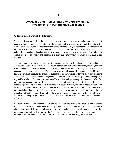**III**

## **Academic and Professional Literature Related to Investments in Performance Excellence**

### **A. Fragmented Nature of the Literature**

The academic and professional literature related to corporate investments in quality, that is sources of quality, is highly fragmented. In other words, authors tend to examine only selected aspects of the concept of quality. While the characterization of the literature as highly fragmented is a criticism in the best sense of the word, such fragmentation is understandable. From Table II-1 it is clear that the holistic view of quality and quality management as an all-encompassing total company effort to improve performance is a *new* view, and possibly a twenty-first century view, for which a consensus is still emerging.

There are a number of ways to summarize the literature on the broadly-defined subject of quality, and each could be useful in its own right. One could segment the literature by discipline, meaning that one would review the relevant economics literature, production literature, organizational literature, management literature, and so on. That approach has the advantage of grouping scholarship by the questions explored, because the choice of questions to be investigated is for the most part discipline specific. However, such a discipline-segmentation approach has the disadvantage of not unveiling areas of possible overlap in the questions being asked by scholars and not placing the subsequently identified questions into a general framework of analysis. One could alternatively segment the literature by general methodology, meaning that one could review the case-based literature, the survey-based literature, the theoretical literature, and so on. That approach may unveil some areas of possible overlap in the questions being asked, but it too falls short in the sense that the areas of overlap that are revealed might be neither systematic nor complete. Rather, the areas of overlap revealed could be the result of the preselected methodological groupings. Neither approach is effective for the purposes of this economic evaluation.

A careful review of the academic and professional literature reveals that there is not a general framework for considering investments in quality or how investments in quality affect firm performance; scholars have identified important elements that might be included in a general framework, but to date have failed to provide such a framework. Therefore, a conceptual model of firm performance is set forth in this section, and it will form the basis of a taxonomy for characterizing the extant literature.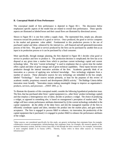#### **B. Conceptual Model of Firm Performance**

 $\overline{a}$ 

The conceptual model of firm performance is depicted in Figure III-1. The discussion below emphasizes specific aspects of the model that are related to overall firm performance. These specific aspects are illustrated as labeled boxes and their causal flows are illustrated by directional arrows.

Shown in Figure III-1 is one firm within a supply chain. The represented firm, simply put, allocates resources toward the production of a good or service. Once produced, the good or service competes in the market and generates value added. Fundamental to this production process is the use of purchased capital and labor, enhanced by the internal (i.e., self-financed and self-generated) innovation process of the firm. The good or service produced by the firm can be purchased by another firm as an input in its production process or it can be purchased by a final consumer.

More specifically, through strategic planning, the firm depicted in Figure III-1 decides what good or service to produce and how to produce it. The production decision is complicated; the firm has at its disposal at any given time a market from which to purchase current technology capital and current technology labor. The term "current technology" is used to emphasize that at a given time the market offers capital and labor of given vintage and of given technical capabilities. These inputs become more productive through the internal innovative activities of the firm. Academics generally think of an innovation as a process of applying new technical knowledge. New technology originates from a number of sources. These alternative sources for new technology are imbedded in the box simply labeled "Technology." Such sources include primarily, at least for the purposes of this review of academic models, proprietary research and development (R&D) activity.<sup>5</sup> The Baldrige Criteria define innovation more broadly: "Innovation means making meaningful change to improve an organization's products, services, and processes …(NIST 2001, p. 3).

To illustrate the dynamics of this conceptual model, consider the following hypothetical production issue. The firm, that has purchased other firms' capital equipment (i.e., other firms' product technology capital) and that employs a heterogeneous mix of labor, decides to produce a widget. The choice of producing a widget, as opposed to something else, is based on management's perception of market need. The widget will have certain performance attributes determined by (i) the current technology embodied in the capital equipment; (ii) the ability of the labor force; and (iii) the managerial expertise of the firm to efficiently coordinate capital and labor, introduce the product into the market place, and gain market acceptance. The firm is engaged in process R&D to enhance, via innovation, the productivity of the capital equipment that it purchased; it is engaged in product R&D to enhance the performance attributes of the widget.

<sup>&</sup>lt;sup>5</sup> Other sources, not considered specifically for this study, are generic technology that originates from, for example, collaborative research arrangements; infratechnology that originates from, for example, the research agenda of the national laboratory system; and the science base that is fed through the basic research in, for example, universities. A more complete model is in Tassey (1997). Therein, Tassey refers to these other sources as "technical infrastructure."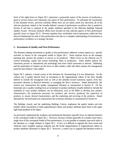Each of the eight boxes in Figure III-1 represents a purposeful aspect of the process of producing a good or service; hence each represents one aspect of firm performance. To anticipate the conclusions of this literature review, previous scholarly efforts have not yet asked, much less answered, all of the relevant questions related to the broadly-defined concept of performance excellence that is posited in Section II and that is captured in the quality attributes specified in the Malcolm Baldrige National Quality Award. Previous scholarly efforts have focused on only selected aspects of firm performance (specific boxes in Figure III-1). Previous inquiries have overlooked critical interactions within the firm that are fundamental not only to firm performance but also to a complete understanding of investments in performance excellence as a strategic decision.

#### **C. Investments in Quality and Firm Performance**

The literature relating investments in quality to firm performance addresses various aspects (i.e., specific activities or boxes) of the conceptual model in Figure III-1. Some analyses focus on the strategic planning that chooses the product or service to be produced. Others focus on the efficient use of current technology capital and current technology labor in production. Some studies analyze the innovation process or alternatively the technology base from which innovation is derived. Marketing and the penetration of markets are the focus of other studies, while still others analyze the management practices that enhance value added.

Figure III-2 captures a broad sweep of the literature by characterizing it in two dimensions. On the vertical axis is quality derived from an investment in the organizational culture of the firm, broadly defined to include the managerial tools as well as the attitudes toward numerous aspects, from key personnel elements to financial elements, to managing the firm's resources. Stated alternatively, the vertical axis characterizes the quality management literature as summarized in Section II. On the horizontal axis is quality resulting from an investment in product attributes, broadly defined to include the multitude of ways product attributes can be influenced, such as the R&D to develop new product characteristics, the production processes for products and services produced, the inspection of products to ensure desired characteristics, and the marketing and servicing of the products. Stated alternatively, the horizontal axis characterizes the economics literature as summarized in Section II.

The Baldrige Award, and the underlying Baldrige Criteria, emphasize the quality leaders and role models whose investments in both organizational culture and product attributes place them in the upper right hand quadrant of the figure.

As previously emphasized the academic and professional literatures typically focus on selected elements of the conceptual model in Figure III-1. However, because scholars generally do consider more than a single facet of this conceptual model of firm performance, it is not possible to uniquely map each study in the literature to a single element in Figure III-1. In fact, it is difficult to segment the more recent and relatively more complete analyses uniquely into the broad categorizations of organizational culture or product attributes illustrated in Figure III-2. However, a useful way to organize this literature review is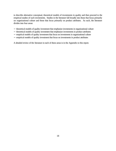to describe alternative conceptual, theoretical models of investments in quality and then proceed to the empirical studies of such investments. Studies in the literature fall broadly into those that focus primarily on organizational culture and those that focus primarily on product attributes. As such, the literature divides into four areas:

- − theoretical models of quality investment that emphasize investments in organizational culture
- − theoretical models of quality investment that emphasize investments in product attributes
- − empirical models of quality investment that focus on investments in organizational culture
- − empirical models of quality investment that focus on investments in product attributes

A detailed review of the literature in each of these areas is in the Appendix to this report.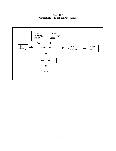**Figure III-1 Conceptual Model of Firm Performance**

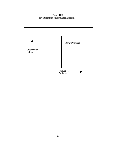**Figure III-2 Investments in Performance Excellence**

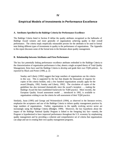## **Empirical Models of Investments in Performance Excellence**

### **A. Attributes Specified in the Baldrige Criteria for Performance Excellence**

The Baldrige Criteria listed in Section II define the quality attributes recognized as the hallmarks of Baldrige Award winners and more generally of organizations achieving quality in their overall performance. The criteria imply empirically measurable proxies for the attributes to be used in formal tests linking different types of investments in quality to the performance of organizations. The Appendix to this report discusses some of the formal tests in the literature about quality management.

### **B. Relationship between Attributes and Firm Performance**

The key fact potentially linking performance excellence attributes embodied in the Baldrige Criteria to the characterization of organization performance is that, absent a single accepted theory of Total Quality Management, firms have used the Baldrige Criteria to develop and guide their own TQM policies. As reported by Black and Porter (1996, p. 2):

Sunday and Liberty [1992] suggest that large numbers of organisations use the criteria in this way. This is supported by the fact that despite the thousands of requests for copies of the criteria booklet, only a few hundred organizations actually apply for the award [Heaphy, 1992; Sunday and Liberty, 1992]. The circulation of copies of the guidelines has also increased dramatically since the award's inception …, making the Baldrige Award the best established framework for TQM practice. More recently, the European Quality Award assessment model … introduced in 1992, is available to organisations wishing to use the criteria for self-assessment of their TQM practice.

Similarly, Juran (1995) and George and Weimerskirch (1994), as observed in the literature review, emphasize the acceptance and use of the Baldrige Criteria to inform quality management practices by large numbers of organizations. Further, organizations in the rapidly evolving service sector are increasingly using the Baldrige Criteria (Blodgett, 1999). Moreover, the key hypothesis about the impact of the Baldrige National Quality Program is linked to the foregoing key fact—namely, the Program is hypothesized to have improved performance throughout the U.S. economy by emphasizing quality management and by providing a coherent and comprehensive set of criteria that organizations can adapt and use in creating their own quality management programs.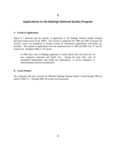## **Applications to the Baldrige National Quality Program**

#### **A. Trends in Applications**

Figure V-1 illustrates that the number of applications to the Baldrige National Quality Program decreased during much of the 1990s. The increase in applicants for 1999 and 2000 is because the Award's scope was broadened to include awards for educational organizations and health care providers. The number of applications from the traditional areas in 1999 and 2000 were 27 and 30, respectively. Blodgett (1999, p. 74) reports:

In 1999, there were 52 Baldrige applicants, of which almost half were from the two new categories—education and health care. Among the total, there were 16 educational organizations, nine health care organizations, 11 service companies, 12 small businesses and four manufacturers.

### **B. Award Winners**

The companies that have received the Malcolm Baldrige National Quality Award through 2000 are listed in Table V-1. Through 2000, 43 awards were announced.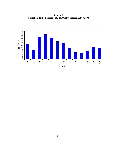**Figure V-1 Applications to the Baldrige National Quality Program, 1988-2000**

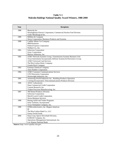## **Table V-1 Malcolm Baldrige National Quality Award Winners, 1988-2000**

| Year | <b>Recipients</b>                                                                                                                                                                                                                                  |
|------|----------------------------------------------------------------------------------------------------------------------------------------------------------------------------------------------------------------------------------------------------|
| 1988 | Motorola Inc.<br>Westinghouse Electric Corporation, Commercial Nuclear Fuel Division<br>Globe Metallurgical Inc.                                                                                                                                   |
| 1989 | Milliken & Company<br>Xerox Corporation, Business Products and Systems                                                                                                                                                                             |
| 1990 | Cadillac Motor Car Company<br><b>IBM</b> Rochester<br>Federal Express Corporation<br>Wallace Co., Inc.                                                                                                                                             |
| 1991 | Solectron Corporation<br>Zytec Corporation<br>Marlow Industries, Inc.                                                                                                                                                                              |
| 1992 | AT&T Network Systems Group, Transmission Systems Business Unit<br>Texas Instruments Incorporated, Defense Systems & Electronics Group<br><b>AT&amp;T Universal Card Services</b><br>The Ritz-Carlton Hotel, Company<br><b>Granite Rock Company</b> |
| 1993 | <b>Eastman Chemical Company</b><br><b>Ames Rubber Corporation</b>                                                                                                                                                                                  |
| 1994 | <b>AT&amp;T Customer Communications Services</b><br><b>GTE Directories Corporation</b><br>Wainwright Industries, Inc.                                                                                                                              |
| 1995 | Armstrong World Industries Inc., Building Products Operation<br>Corning Incorporated, Telecommunications Products Division                                                                                                                         |
| 1996 | <b>ADAC</b> Laboratories<br>Dana Commercial Credit Corporation<br>Custom Research, Inc.<br>Trident Precision Manufacturing, Inc.                                                                                                                   |
| 1997 | <b>3M Dental Products Division</b><br><b>Solectron Corporation</b><br>Merrill Lynch Credit Corporation<br>Xerox Business Services                                                                                                                  |
| 1998 | Boeing Airlift and Tanker Programs<br>Solar Turbines, Incorporated<br>Texas Nameplate Company, Inc.                                                                                                                                                |
| 1999 | STMicroelectronics, Inc.-Region Americas<br>BI<br>The Ritz-Carlton Hotel Co., LLC<br><b>Sunny Fresh Foods</b>                                                                                                                                      |
| 2000 | Dana Corp.-Spicer Driveshaft Division,<br>KARLEE Company, Inc.<br>Operations Management International, Inc.<br>Los Alamos National Bank                                                                                                            |

**Source:** http://www.quality.nist.gov.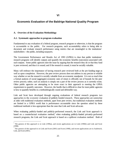## **Economic Evaluation of the Baldrige National Quality Program**

### **A. Overview of the Evaluation Methodology**

 $\overline{a}$ 

#### **A.1. Systematic approaches to program evaluation**

Fundamental to any evaluation of a federal program, research program or otherwise, is that the program is accountable to the public. For research programs, such accountability refers to being able to document and evaluate research performance using metrics that are meaningful to the institutions' stakeholders—the public, including taxpayers.

The Government Performance and Results Act of 1993 (GPRA) is clear that public institutions' research programs will identify outputs and quantify the economic benefits (outcomes) associated with such outputs. Some public agencies skirt the issue by arguing that the research they do or that they fund is peer reviewed, and thus it is sound; and if the research is sound, it must be socially valuable.

Many will embrace the importance of having research peer reviewed both at the pre-funding stage as well as upon completion. However, the peer review process does not address in any precise or reliable way whether or not the research is socially valuable from an economic standpoint. It is not so much that a formal analysis of social (aggregate) economic rates of return is officially out of bounds for the peer review process; rather, such an analysis is simply not a part of the review process as it currently exists. Other public agencies are attempting to be more exact in their approach to meeting the GPRA requirement to quantify outcomes. However, the hurdle that is difficult to clear for most public agencies is how to quantify benefits in a methodologically sound and defensible way.

Link and Scott have developed through ongoing evaluations of federal research programs two approaches to the *economic* evaluation of publicly-funded research. These approaches are somewhat at odds with traditional evaluation methods, apart from peer review, but traditional evaluation methods are limited in a GPRA world that is performance accountable since the question asked by these traditional methods is less appropriate than the ones that Link and Scott advocate.

When evaluating publicly-funded and publicly-performed research, the Link and Scott approach is based on a counterfactual evaluation method; when evaluating publicly-funded privately-performed research programs, the Link and Scott approach is based on a spillover evaluation method.<sup>7</sup> Both of

<sup>6</sup> The genesis of this approach is in Link (1996a), and recent applications are in Link (1996b) and Link and Scott (1998).

<sup>7</sup> The genesis of this approach is in Link and Scott (2001) and Scott (1998), and recent applications are in Audretsch, Link, and Scott (2001).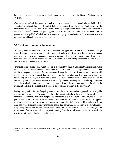these evaluation methods are set forth as background for this evaluation of the Baldrige National Quality Program.

With any publicly-funded program, in principle, the government has an economically justifiable role in supporting investment because of market failures stemming from the public-good nature of the investments associated with the private sector's inability to appropriate returns to the investments or to accept their risks.<sup>8</sup> When the public-good nature of investments provides a justifiable role for government in a publicly-funded program, systematic program evaluation will demonstrate that the program's social benefits exceed its social costs**.**

#### **A.2. Traditional economic evaluation methods**

 $\overline{a}$ 

Griliches (1958) and Mansfield et al. (1977) pioneered the application of fundamental economic insight to the development of measurements of private and social rates of return to innovative investments. Streams of investment costs generate streams of economic benefits over time. Once identified and measured, these streams of benefits and costs are used to calculate such performance metrics as social rates of return and benefit-to-cost ratios.

For example, for a process innovation adopted in a competitive market, using the traditional framework, the publicly-funded innovation being evaluated is thought to lower the cost of producing a product to be sold in a competitive market. As the innovation lowers the unit cost of production, consumers will actually pay less for the product than they paid before the innovation and less than they would have been willing to pay—a gain in consumer surplus. The social benefits from the innovation include the total savings that all consumers receive as a result of producers adopting the cost-reducing innovation. Thus, the evaluation question that can be answered from this traditional approach is: Given the investment costs and the social benefits, what is the social rate of return to the innovation?

Asking the question in the foregoing way is not the most appropriate approach from a public accountability perspective. The approach allows the evaluation to show the benefits of a socially useful innovation, as intended. However, for publicly-funded and publicly-performed research, the procedure ignores consideration of the cost effectiveness of the public sector undertaking the research as opposed to the private sector. In other words, the procedure ignores the efficiency with which social benefits are being achieved. Is the public performance less costly than performing the research in the private sector? For publicly-funded and privately-performed research, the procedure does not in itself distinguish the private rates of return with and without public funding from the social rate of return. As a result, the benefits from the public funding are not identified.

<sup>8</sup> The origin of this view can be traced at least to Bush (1945); Link and Scott (2001) place it in a specific policy context.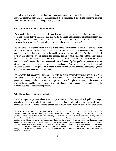The following two evaluation methods are more appropriate for publicly-funded research than the traditional economic approaches. The first method is for such research also being publicly performed and the second for the research being privately performed.

#### **A.3. The counterfactual evaluation method**

When publicly-funded and publicly-performed investments are being evaluated, holding constant the economic benefits that the Griliches/Mansfield model measures, and making no attempt to measure that stream, the relevant counterfactual question to ask is: What would the private sector have had to invest to achieve those same benefits in the absence of the public sector's investments?

The answer to that question reveals benefits of the public's investments—namely, the private sector's costs avoided because of the public's investments. Additional benefits are the benefits from the public sector's investments that industry would be unable or unwilling to duplicate.<sup>9</sup> With those benefits of costs avoided plus the value of benefits that industry could not have replicated—obtained in practice through extensive interviews with administrators, federal research scientists, and those in the private sector who would have to duplicate the research in the absence of public performance—counterfactual rates of return and benefit-to-cost ratios can be calculated. Those metrics answer the fundamental evaluation question: Are the public investments a more efficient way of generating the technology than private sector investments would have been?

The answer to that fundamental question aligns with the public accountability issues implicit in GPRA, and addresses a key question of public sector stakeholders, who may doubt the appropriateness of government having a role in the innovation process in the first place. Further, in the context of investments with a public-good nature, the hypothesized answer to the fundamental question is yes; the counterfactual method tests that hypothesis.

#### **A.4. The spillover evaluation method**

 $\overline{a}$ 

There are important projects where economic performance can be improved with public funding of privately-performed research. Public funding is needed when socially valuable projects would not be undertaken without it. If the expected private rate of return from a research project falls short of the

<sup>&</sup>lt;sup>9</sup> In the extreme case where industry would not have made the investments at all, there are no private-sector costs avoided. However, because the private-sector performance shortfall is complete, the entire, traditional Griliches/Mansfield-like (whether their cost-reducing innovations are surplus-creating innovations more generally) stream of returns to the R&D investments is valued as benefits. In that special case, the approached used herein is identical to the Griliches/Mansfield approach except that it has the advantage of having pointed out that government could do the work more efficiently—in this special case because industry would not do it at all. See Link and Scott (1998) for more details about the counterfactual evaluation method. Consistent with what the respondents have reported, and further to be conservative in the estimates of the benefits of the Baldrige Program, it is assumed throughout that the private sector could—for the additional costs identified in the survey—have replicated the results of the Program.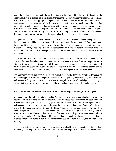required rate, then the private sector firm will not invest in the project. Nonetheless, if the benefits of the research spill over to consumers and to firms other than the ones investing in the research, the social rate of return may exceed the appropriate required rate. It would then be socially valuable to have the investments made, but since the private investor will not make them the public sector should. By providing some public funding and thereby reducing the investment amount needed from the private firm or firms doing the research, the expected private rate of return can be increased above the required rate. Thus, because of this subsidy, the private firm is willing to perform the research that is socially desirable because much of its output spills over to other firms and sectors in the economy.

The question asked in the spillover method is one that facilitates an economic understanding of whether the public sector should be underwriting a portion of private-sector firms' research. What proportion of the total profit stream generated by the private firm's R&D and innovation does the private firm expect to capture? Hence, what proportion is not appropriated but is instead captured by other firms that imitate the innovation or use knowledge generated by the R&D to produce competing products for the social good?

The part of the stream of expected profits captured by the innovator is its private return, while the entire stream is the lower bound on the social rate of return. In essence, the method weighs the private return, estimated through extensive interviews with firms receiving public support about their expectations of future patterns of events and future abilities to appropriate R&D-based knowledge, against private investments. The social rate of return weights the social returns against the social investments.

The application of the spillovers model to the evaluation of public funding / private performance of research is appropriate since the output of the research is only partially appropriable by the private firm with the rest spilling over to society. The extent of the spillover of such knowledge with public good characteristics determines whether or not the public sector should fund or partially fund the research.

#### **A.5. Methodology applicable to an evaluation of the Baldrige National Quality Program**

In a broad sense, the Baldrige National Quality Program is a measurement-and-standards infrastructure research and development investment program, with the associated investments in operations and maintenance. Publicly-funded and publicly-performed infrastructure R&D and related operations and maintenance investments occur within the Program in the sense that therein the Baldrige Criteria were originally developed and therein, through the Baldrige Award process, appropriate application of the criteria for performance excellence are evaluated. In this sense, the Baldrige National Quality Program is similar to a NIST laboratory that performs infrastructure technology R&D investments and sets performance standards (i.e, the Baldrige Criteria) and then continually calibrates bench standards used in private-sector laboratories to achieve a predetermined level of performance (i.e., the Baldrige Award process).

Thus, the counterfactual evaluation method is directly applicable to the evaluation of the Baldrige National Quality Program. Benefits to the economy from the Program are systematically quantified in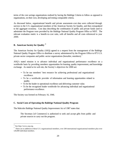terms of the cost savings organizations realized by having the Baldrige Criteria to follow as opposed to organizations, on their own, developing and testing comparable criteria.

As discussed below, organizational benefit and private assessment-cost data were collected through surveys to the U.S. organizational members of the American Society for Quality, and then extrapolated to the aggregate economy. Cost data describing the combination of public and private funds used to administer the Program were provided by the Baldrige National Quality Program Office at NIST. The relevant evaluation metric is a benefit-to-cost ratio, with all benefits and all costs referenced to year 2000.

## **B.** American Society for Quality <sup>10</sup>

The American Society for Quality (ASQ) agreed to a request from the management of the Baldrige National Quality Program Office to distribute a survey administered by the Program Office to 875 U.S. private-sector companies and public-sector organizations (hereafter, members).<sup>1</sup>

ASQ's stated mission is to advance individual and organizational performance excellence on a worldwide basis by providing members opportunities for learning, quality improvement, and knowledge exchange. As stated at its web site, the Society's objectives for 2000 are:

- − To be our members' best resource for achieving professional and organizational excellence.
- − To be a worldwide provider of information and learning opportunities related to quality.
- − To be the leader in operational excellence and delivering customer value.
- − To be the recognized leader worldwide for advancing individual and organizational performance excellence.

The Society was formed on February 16, 1946.

### **C. Social Costs of Operating the Baldrige National Quality Program**

The Malcolm Baldrige National Quality Improvement Act of 1987 states that:

The Secretary [of Commerce] is authorized to seek and accept gifts from public and private sources to carry out the program.

<sup>10</sup> See http://www.asq.org.

<sup>&</sup>lt;sup>11</sup> There are in addition to these U.S. organizational members, over 200 international organizational members plus over 120,000 individual members.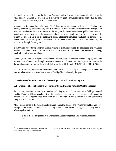The public source of funds for the Baldrige National Quality Program is an annual allocation from the NIST budget. Column (2) of Table VI-1 shows the Program's annual allocations from NIST by fiscal year beginning with its first year of operation, 1988.

In addition to the pubic funding through NIST, there are private sources of funds The Program was initially endowed by private industry with \$10 million. A Foundation was established to manage these funds and to allocate the interest earned to the Program for award ceremonies, publication costs, and partial training and travel costs for examiners whose companies would not pay for such expenses. In column (3) of Table VI-1 are the Program's annual allocations from the Foundation. In column (4) are annual estimates of company expenditures for examiner travel that were not reimbursed by the Foundation through the Program.<sup>1</sup>

Industry also supports the Program through volunteer examiners during the application and evaluation process. In column (5) of Table VI-1 are the total hours of examiner time devoted to training, application review, and site visits.

Column (6) of Table VI-1 reports the estimated Program costs (in constant 2000 dollars), by year. The present value of these costs, brought forward at the real social rate of return of 7 percent to account for the social opportunity costs of these funds following the guidelines of OMB (1992), is \$118,617,000.

Thus, \$119 million (rounded and in constant 2000 dollars) is used to represent the present value of the total social costs (to date) associated with the Baldrige National Quality Program.

## **D. Social Benefits Associated with the Baldrige National Quality Program**

 $\overline{a}$ 

### **D.1. Evidence of social benefits associated with the Baldrige National Quality Program**

As previously reviewed, a number of studies, including some conducted within the Baldrige National Quality Program Office, conclude that the market's valuation of the financial and managerial performance of companies that have received the Baldrige Award is greater than for comparable companies that have not.

Also, with reference to the management literature on quality, George and Weimerskirch (1994, pp. 5-6) champion the Baldrige criteria as the leading model of total quality management (TQM) with the following observations:

No other model has gained such widespread global acceptance. As evidence, consider these facts:

<sup>12</sup> The Foundation reimburses between 60% and 70% of examiner travel costs and the remainder is paid by the examiner's company or organization.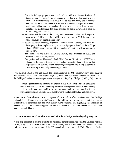- − Since the Baldrige program was introduced in 1988, the National Institute of Standards and Technology has distributed more than a million copies of the criteria. It estimates that people have made at least that many copies for their own use. [NIST now estimates that by 2001 the number of copies distributed is nearly two million, with the number of copies made being at least as many, including an indeterminate but large number of copies downloaded from the Baldrige Program's web site.]
- − More than half the states in the country now have state quality award programs based on the Baldrige criteria. [NIST now reports that by 2001 the number of states with such programs exceeds forty.]
- − Several countries including Argentina, Australia, Brazil, Canada, and India are developing or have implemented quality award programs based on the Baldrige criteria. [NIST reports that by 2001 the number of countries with such programs exceeds fifty.]
- − The criteria for the European Quality Award, first presented in 1992, are patterned after the Baldrige criteria.
- − Companies such as Honeywell, Intel, IBM, Carrier, Kodak, and AT&T have adopted the Baldrige criteria as their internal assessment tool and criteria for their corporate quality awards. Many other large companies are asking suppliers to assess their organizations by the Baldrige criteria.

From the mid-1980s to the mid-1990s, the service sector of the U.S. economy grew faster than the non-service sector by an order of magnitude (Scott, 1999). The rapidly evolving service sector is using the Baldrige Criteria to ensure comprehensive management of quality. Blodgett (1999, p. 74) observes:

Service organizations are adopting the criteria in two main ways: They are conducting self-assessments against this robust organizational management model to help identify their strengths and opportunities for improvement, and they are applying for the increasing number of Baldrige-based quality awards in place at the state and local level.

In addition to these observations about aspects of the social benefits associated with the Baldrige National Quality Program, as shown in Table VI-2 the Baldrige Criteria have been adopted by states as a foundation or benchmark for their own quality award programs, thus signifying one dimension of benefits. In fact, this evidence supports, in part, the manner in which the counterfactual evaluation method is applied herein.

#### **D.2. Estimation of social benefits associated with the Baldrige National Quality Program**

A five-step approach is used to estimate the net social benefits associated with the Baldrige National Quality Program. Each step is discussed in detail below; here is a brief overview. Benefit data were collected by survey from a sample of the U.S. organizational members of ASQ. These benefit data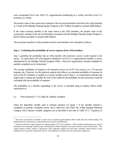were extrapolated first to the ASQ U.S. organizational membership as a whole, and then to the U.S. economy as a whole.

The present value of the conservative estimate of the net private benefits received by the ASQ members as a result of the Baldrige National Quality Program is \$2.17 billion (rounded in constant 2000 dollars).

If the entire economy benefits to the same extent as the ASQ members, the present value of the conservative estimate of the net social benefits associated with the Baldrige National Quality Program is \$24.65 billion (rounded in constant 2000 dollars).

The net private benefits to ASQ members and net social benefits were estimated as follows.

#### *Step 1: Estimating the probability of survey response from ASQ members*

Step 1 quantifies the probability that an ASQ member who received a survey would respond to the survey. As noted above, the ASQ agreed to distribute to its 875 U.S. organizational members a survey administered by the Baldrige National Program Office. Sixty-five organizations returned completed or partially completed survey instruments.<sup>13</sup>

The average probability of response is 65 returned surveys out of 875 sent surveys, or a 7.43 percent response rate. However, for the statistical analysis that follows, an estimated probability of response for each of the 875 members is needed as a control variable used in Step 2—to avoid biased estimates that might result if without the variable the error in the model for the probability of self-assessment would be correlated with the probability of response.

The probability of a member responding to the survey is estimated using an industry effects model represented as:

(1) Prob (response) =  $F(2$ -digit SIC industry variables)

 $\overline{a}$ 

where the dependent variable used to estimate equation (1) equals 1 if the member returned a completed or partially completed survey and 0 otherwise, and where the 2-digit Standard Industrial Category (SIC) industry variable categories are as described in the note to Table VI-3.<sup>14</sup> Equation (1)

<sup>13</sup> ASQ sent an electronic reminder to each survey recipient approximately three weeks after the initial mailing. No member-specific information is reported herein to ensure confidentiality.

<sup>&</sup>lt;sup>14</sup> ASQ provided the 2-digit industry for approximately 75% of its members. Public domain information was used to determine the remaining classifications, including the *Thomas Register* and other Internet search mechanisms. The simple industry effects model is significant; more elaborate models that add other available characteristics of the members have no greater explanatory power—the additional variables are not statistically significant.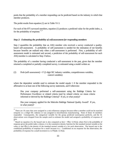posits that the probability of a member responding can be predicted based on the industry in which that member produces.

The probit results from equation (1) are in Table VI-3.

For each of the 875 surveyed members, equation (1) produces a predicted value for the probit index, z, for the probability of response.<sup>15,16</sup>

### *Step 2: Estimating the probability of self-assessment for responding members*

Step 2 quantifies the probability that an ASQ member who received a survey conducted a qualitybased self-assessment. A probability of self-assessment is needed for the estimation of net benefits because benefits are realized only when a self-assessment is performed. First, a probability of selfassessment model is estimated and second, a prediction of the probability of self-assessment for each ASQ member is calculated in Step 3 below.

The probability of a member having conducted a self-assessment in the past, given that the member returned a completed or partially-completed survey, is estimated using a model written as:

## (2) Prob (self-assessment) =  $F(2$ -digit SIC industry variables, competitiveness variables, control variables)

where the dependent variable used to estimate the model equals 1 if the member responded in the affirmative to at least one of the following survey statements, and 0 otherwise:

Has your company performed a self-assessment using the Baldrige Criteria for Performance Excellence or related criteria (and by related criteria we mean criteria informed or derived by the Baldrige Criteria)? If yes, in what year(s)?

Has your company applied for the Malcolm Baldrige National Quality Award? If yes, in what year(s)?

<sup>&</sup>lt;sup>15</sup><br>There are 16 cases that were assigned to a mis cellaneous category because either a member could not be matched uniquely to a 2-digit SIC industry or was assigned to miscellaneous manufacturing. None of those 16 members responded. Consequently, the categorical variable for the group predicted nonresponse perfectly, and the 16 observations were dropped from the sample used to estimate the model and assigned a probability of response of zero.

<sup>&</sup>lt;sup>16</sup> Based on equation (1), the hazard rate is also computed as  $h(z) = F'(z) / (1-F(z))$ , where  $F(z)$  is the probability of response given the probit index z (hence, it is the cumulative density function for the standard normal variable at the value z) and  $F(x)$  is the density of the standard normal variable at z for each observation. The hazard rate is the conditional probability of response for a small increase in z. Conditional on no response for the observation, the probability of response for a small increment in z is  $F$  $\chi$ z $)$ dz / (1-F $(z)$ ).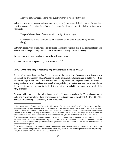Has your company applied for a state quality award? If yes, in what year(s)?

and where the competitiveness variables noted in equation (2) above are defined in terms of a member's Likert responses (7 = strongly agree to 1 = strongly disagree) with the following two survey statements:<sup>17</sup>

The possibility or threat of new competition is significant. (*comp*)

Our customers have a significant ability to bargain on the price of our primary products. (*barg*)

and where the relevant control variables (to ensure against any response bias in the estimates) are based on estimates of the probability of response (*probres*) to the survey from equation (1).

Twenty-three of 65 members had performed a self-assessment.

The probit results from equation (2) are in Table VI-4. $^{18,19}$ 

### *Step 3: Predicting the probability of self-assessment for members of ASQ*

The statistical output from this Step 3 is an estimate of the probability of conducting a self-assessment for each of the 875 members of ASQ using the results from equation (2) presented in Table VI-4. Step 3 builds on steps 1 and 2 in that the first step provided a probability of response used to estimate well (using a subset of ASQ members) the model of the probability of self-assessment in the second step. That model in turn is now used in the third step to estimate a probability of assessment for all of the ASQ members.

As noted, with reference to the estimation of equation (2), data are available for 65 members on *comp* and *barg*. The mean value of these two variables ( $n = 65$ ) is imputed to the other 810 (875 – 65) ASQ members for predicting the probability of self-assessment.

<sup>&</sup>lt;sup>17</sup> The mean value of *comp* (n=65) = 5.6. The mean value of *barg* (n=65) = 4.6. The inclusion of these competitiveness variables follows from the economic and management literatures related to quality as reviewed above. Firms facing greater competitive pressures or buyers with greater bargaining strength are expected to be more likely to invest heavily in quality management. See for example Lau (1996) who develops information about his responding firms' competitive environments, including for example, the possibility or threat of new competition.

<sup>&</sup>lt;sup>18</sup> When the hazard rate is included in equation (2) in place of the probability of response, the estimated probit model performed almost identically to the model reported in Table VI-4. Those results are available from the authors on request. Further, other available, potential explanatory variables were insignificant and did not add importantly to the model's explanatory power.

<sup>&</sup>lt;sup>19</sup> The model in equation (2) is estimated with 65 observations, however the 2-digit industry variables, *dtrcomut* and *dfire*, are dropped along with the 5 observations where they equal 1 because they predict assessment perfectly. Thus, the results in Table VI-4 are based on 60 observations.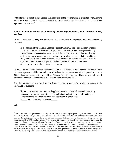With reference to equation (2), a probit index for each of the 875 members is estimated by multiplying the actual value of each independent variable for each member by the estimated probit coefficient reported in Table VI-4. $^{20}$ 

## *Step 4: Estimating the net social value of the Baldrige National Quality Program to ASQ members*

Of the 23 members of ASQ that performed a self-assessment, 14 responded to the following survey statement:

In the absence of the Malcolm Baldrige National Quality Award—and therefore without the information and assistance that it provides about performance management/quality improvement assessments and therefore with the need to incur expenditures to develop and acquire such knowledge and assistance from other sources—what expenditures (fully burdened) would your company have incurred to achieve the same level of expertise in performance management/quality improvement that you now have? \$ per year over the previous years.

As discussed above with reference to the counterfactual evaluation method, members' responses to this statement represent credible time estimates of the benefits (i.e., the costs avoided reported in constant 2000 dollars) associated with the Baldrige National Quality Program. Thus, for each of the 14 responding members, a time series of real benefits received is formulated.

Regarding costs to compare to this time series of benefits, each of the 14 members responded to the following two questions:

If your company has been an award applicant, what was the total economic cost (fully burdened) to your company to obtain, understand, collect relevant information, and comply with the Baldrige Criteria or state application requirements?  $\frac{\gamma_{\text{max}}}{\gamma_{\text{max}}}$  per year during the year(s) \_\_\_\_\_.

and,

<sup>&</sup>lt;sup>20</sup> The mean value of the probit index  $(n=810) = -0.7041409$ , corresponding to a probability of assessment = 0.2602325. In the calculations below, a lower-bound probit index is used rather than the predicted value averaged here. Note from the foregoing footnote that there are 65 ASQ members that responded to the survey. Also, there are by happenstance 65 of 875 members where *dtrcomut* and *dfire* equal 1, so there is no probit index for them from the estimation of equation (2)—recall from the preceding footnote that those two categories are perfect predictors of assessment—and hence n=810. In the calculations below, rather than imposing a probability of self-assessment of 1.0 on each of the additional 65 members in the perfect prediction categories, the average lower-bound probability of self-assessment from equation (2) is imputed to them, thus producing in these instances a more conservative estimate. The average lower-bound probability, as contrasted with the average probability, is explained below.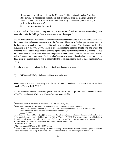If your company did not apply for the Malcolm Baldrige National Quality Award or state award, but nonetheless performed a self-assessment using the Baldrige Criteria or related criteria, what was the total economic cost (fully burdened) to your company to perform the self-assessment?

 $\frac{\gamma}{\gamma}$  per year during the year(s) \_\_\_\_\_.

Thus, for each of the 14 responding members, a time series of real (in constant 2000 dollars) costs incurred to make the Baldrige Criteria operational is also developed. $21$ 

The net present value of each member's benefits is calculated using these survey data by first calculating the present value (referenced to the earlier of the first year of benefits or the first year of costs, hereafter the base year) of each member's benefits and each member's costs. The discount rate for this calculation is  $r = (k-.03)/(1+.03)$ , where k is each member's reported hurdle rate and where the prevailing annual rate of price inflation over the reported time intervals is estimated at 3 percent.<sup>22</sup> Thus, net present value is the difference between the present value of benefits less the present value of costs, both referenced to the base year. Each member's net present value of benefits is then re-referenced to 2000 using a 7 percent growth rate to account for the social opportunity costs of these moneys (OMB 1992).

The following model is estimated using the 14 calculated net present values.<sup>23</sup>

(3) NPV<sub>2000</sub> = F (2-digit industry variables, size variables)

where member size was provided by ASQ for 874 of the 875 members. The least-squares results from equation (3) are in Table VI-5. $^{24}$ 

The estimated coefficients in equation (3) are used to forecast the net present value of benefits for each of the 874 members of ASQ for which member size was available.

must anticipate if it is to consider new investment worthwhile)? \_\_\_\_\_ percent.

 $^{21}$  Such costs are often referred to as pull costs. See Link and Scott (1998).

 $22$  Regarding the hurdle rate, each member was asked to respond to the following statement: What is your company's hurdle rate for investments (the minimum rate of return that your company

The real rate of return will be  $r = (k-a)/(1+a)$  where a is the anticipated rate of inflation. If one invests X and receives Y, the nominal return for the period is k such that  $X(1+k)=Y$  and  $k=(Y-X)/X$ . Given an anticipated rate of inflation a, the real rate of return r is such that  $X(1+a)(1+r)=Y$  since that yields the rate of return r in constant dollars:  $X(1+r)=Y/(1+a)$ . Since  $X(1+a+r+ra)=X(1+k)$ , then  $k=(a+r+ra)$  and  $r=(k-a)/(1+a)$ . The mean value of  $k = 0.1821$ .

<sup>&</sup>lt;sup>23</sup> The mean value of NPV<sub>2000</sub> (n=14) = \$17.7 million.

Other available, potential explanatory variables, including various hazard rates or associated probabilities and other sector effects, were insignificant and did not add importantly to the explanatory power of the model.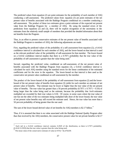The predicted values from equation (2) are point estimates for the probability of each member of ASQ conducting a self-assessment. The predicted values from equation (3) are point estimates of the net present value of benefits associated with the Baldrige Program conditional on a member conducting a self-assessment. The product of these two estimates gives a point estimate of the expected net present value from the Baldrige Program for a member of ASQ. By using the standard errors of the predictions from equations (2) and (3), there will be explicit recognition of the uncertainty in the estimates from the relatively small sample of members that provided the detailed information about their net benefits from the Program.

Thus, in an effort to present conservative estimates of the net present value of benefits associated with the Baldrige Program to members of ASQ, the following adjustments are made.

First, regarding the predicted values of the probability of a self-assessment from equation (2), a 0.4142 confidence interval is calculated for each member of ASQ, and the lower-bound on that interval is used as the relevant predicted value of the probability of self-assessment for that member. The lower-bound on a 0.4142 confidence interval implies that there is a 0.7071 probability that the true value of the probability of self-assessment is greater than the value being used.<sup>25</sup>

Second, regarding the predicted value, conditional on self-assessment, of the net present value of benefits associated with the Baldrige Program from equation (3), a 0.4142 confidence interval is calculated for each ASQ member using the standard errors for the linear combination of the estimated coefficients and for the error in the equation. The lower-bound on that interval is then used as the conservative net present value conditional on self-assessment by the member.

The product of the lower-bound of the probability of self-assessment from equation (2) and the lowerbound of the net present value of benefits from equation (3) yields for each member an estimate of net present value of benefits. That estimate may be lower or higher than the true value of the net present value of benefits. The true value has greater than a 50 percent probability  $(0.7071 \times 0.7071 = 0.50)$  of being larger than the value being used as the estimate, because the probability that *both* estimates multiplied are exceeded by their true values is 0.50. Of course, in some cases where the true value of one but not the other of the two estimates being multiplied falls short of the lower bound, the true value of net present value benefits may still exceed the estimate used. Hence, the true value has more than a 50 percent probability of being greater than the one used.

The sum of the lower-bound derived value of net benefits for ASQ members is \$2.17 billion.<sup>26</sup>

Thus, if it is assumed that there is no value associated with the Baldrige National Quality Program other than that received by the ASQ members, the conservative present value for net private benefits is \$2.17

<sup>25</sup> Each tail in a 0.4142 confidence interval contains 0.2929 of the distribution, so there is 0.7071 probability (0.4142+0.2929) that the true value is greater than the value being used.

The mean value of the conservative estimate of value  $(n=874) = $2,478,039$ .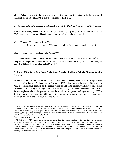billion. When compared to the present value of the total social cost associated with the Program of \$119 million, the ratio of ASQ benefits to social costs is 18.2-to-1.

#### *Step 5: Estimating the aggregate net social value of the Baldrige National Quality Program*

If the entire economy benefits from the Baldrige National Quality Program to the same extent as the ASQ members, then total social benefits can be forecast using the following formula:

(4) Economy Value = (value for ASQ) / (proportion taken by the ASQ members in the 50 represented industrial sectors)

where the latter value is calculated to be  $0.0880285$ .<sup>27</sup>

Thus, under this assumption, the conservative present value of social benefits is \$24.65 billion.<sup>28</sup> When compared to the present value of the total social cost associated with the Program of \$119 million, the ratio of ASQ benefits to social costs is  $207$ -to-1.<sup>29</sup>

## **E. Ratio of Net Social Benefits to Social Costs Associated with the Baldrige National Quality Program**

As derived in the previous section, the conservative estimate of the net private benefit to ASQ members as a result of the Baldrige National Quality Program is \$2.17 billion (rounded in constant 2000 dollars). And, the conservative estimate of the present value of aggregate economy-wide net social benefits associated with the Program through 2000 is \$24.65 billion (again, rounded in constant 2000 dollars). As also explained above, the present value of the social cost to operate the Program through 2000 is \$119 million (rounded in constant 2000 dollars). From an evaluation perspective, these values yield benefit-to-cost ratios between 18.2-to-1 and 207-to-1.

<sup>27</sup> The size data for industrial sectors were assembled using information in U.S. Census (1997) and Council of Economic Advisers (2001). Size data for 1997 were inflated using the chain type price index for gross domestic product from Table B-7, "Chain type price indexes for gross domestic product, 1959-2000" Council of Economic Advisers, (2001, p. 284) to be comparable with the ASQ 1999 sales data. When 1997 sector size data were unavailable, 1992 data were used and then inflated to 1999.

<sup>&</sup>lt;sup>28</sup> \$2.17 billion / 0.088025 = \$24.65 billion.

<sup>29</sup> All but a few ASQ members could be separated into the manufacturing sector and the service sector. Recalculating, using only these two broad industrial categories and omitting industrial categories where there are very few members (SIC < 20 sectors with only 8 ASQ members) yields a conservative estimate of the aggregate manufacturing sector's net benefits of \$7.6 billion and a conservative estimate of the aggregate service sector's net benefits of \$13.0 billion. Thus, when the sum of these estimates is compared to total social costs of \$119 million the resulting benefit to cost ratio is 173-to-1.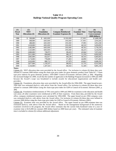## **Table VI-1 Baldrige National Quality Program Operating Costs**

| (1)<br><b>Fiscal</b><br>Year | (2)<br><b>NIST</b><br><b>Allocations</b> (\$) | (3)<br><b>Foundation</b><br><b>Allocations</b> (\$) | (4)<br><b>Company Reimbursed</b><br><b>Examiner Expenses (\$)</b> | (5)<br><b>Examiner Time</b><br>(hours) | (6)<br><b>Total Operating</b><br><b>Costs (constant)</b><br>2000 dollars) |
|------------------------------|-----------------------------------------------|-----------------------------------------------------|-------------------------------------------------------------------|----------------------------------------|---------------------------------------------------------------------------|
| 1988                         | \$<br>200,000                                 | \$<br>600,000                                       | \$190,000                                                         | 37,995                                 | \$3,689,349                                                               |
| 1989                         | 408,000                                       | 600,000                                             | 190,000                                                           | 37,995                                 | 3,910,205                                                                 |
| 1990                         | 488,000                                       | 600,000                                             | 190,000                                                           | 37,995                                 | 3,951,030                                                                 |
| 1991                         | 1,018,000                                     | 600,000                                             | 190,000                                                           | 46,510                                 | 5,059,093                                                                 |
| 1992                         | 1,482,000                                     | 600,000                                             | 190,000                                                           | 49,763                                 | 5,750,259                                                                 |
| 1993                         | 1,525,000                                     | 600,000                                             | 190,000                                                           | 46,223                                 | 5,516,050                                                                 |
| 1994                         | 2,860,000                                     | 728,973                                             | 190,453                                                           | 45,944                                 | 7,072,918                                                                 |
| 1995                         | 3,611,000                                     | 694,669                                             | 188,137                                                           | 51,259                                 | 8,092,820                                                                 |
| 1996                         | 2,865,000                                     | 652,017                                             | 160,230                                                           | 44,143                                 | 6,683,663                                                                 |
| 1997                         | 3,174,000                                     | 778,600                                             | 171,803                                                           | 44,090                                 | 7,073,404                                                                 |
| 1998                         | 3,010,000                                     | 808,713                                             | 157,879                                                           | 43,662                                 | 6,840,293                                                                 |
| 1999                         | 3,877,000                                     | 1,159,337                                           | 186,052                                                           | 51,735                                 | 8,553,566                                                                 |
| 2000                         | 5,334,000                                     | 1,187,543                                           | 160,363                                                           | 51,349                                 | 9,891,218                                                                 |

**Notes:**

Column (2): NIST allocation data were provided by the Award office. For inclusion in column (6) these data were inflated to constant 2000 dollars using the chain type price index for gross domestic product from Table B-7, "Chain type price indexes for gross domestic product, 1959-2000" Council of Economic Advisers (2001, p. 284). Regarding the increased budget for 2000, recall that the number of applicants to the Baldrige Program increased in 1999 and 2000 because the Award's scope was broadened to include awards for educational organizations and health care providers.

Column (3): Foundation allocation data were provided by the Award office for 1994-2000. The upper bound on pre-1994 data was estimated (*italics*), with advice from the Award office. For inclusion in column (6) these data were inflated to constant 2000 dollars using the chain-type price index for GDP in Council of Economic Advisers (2001, p. 284).

Column (4): Foundation reimbursements of 70% were paid in 1999 and 2000 for examiners in the education and health care areas; all other examiners were reimbursed at 60% of their expenses. From these data, provided by the Award office, company reimbursed expenses were calculated for 1994-2000. The upper bound on pre-1994 company costs was estimated (*italics*), with advice from the Award office. For inclusion in column (6) these data were inflated to constant 2000 dollars using the chain-type price index for GDP in Council of Economic Advisers (2001).

Column (5): Examiner time was provided by the Award office. The upper bound on pre-1990 examiner time was estimated (*italics*), with advice from the Award office. Based on the management background of the numerous examiners involved in the program, the Award office estimates that the current fully-burdened value of a year of examiner time is \$125,000 (in constant 2000 dollars based on 2000 hours per year). The estimated value of examiner time is included in column (6) without additional adjustment.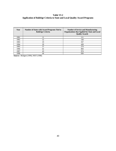## **Table VI-2 Application of Baldrige Criteria to State and Local Quality Award Programs**

| Year | <b>Number of States with Award Programs Tied to</b><br><b>Baldrige Criteria</b> | <b>Number of Service and Manufacturing</b><br><b>Organizations that Applied for State and Local</b><br><b>Quality Awards</b> |
|------|---------------------------------------------------------------------------------|------------------------------------------------------------------------------------------------------------------------------|
| 1991 |                                                                                 | 111                                                                                                                          |
| 1992 | 12                                                                              | 144                                                                                                                          |
| 1993 | 19                                                                              | 357                                                                                                                          |
| 1994 | 29                                                                              | 428                                                                                                                          |
| 1995 | 37                                                                              | 574                                                                                                                          |
| 1996 | 42                                                                              | 804                                                                                                                          |
| 1997 | 43                                                                              | 974                                                                                                                          |
| 1998 | 44                                                                              | 830                                                                                                                          |

**Source:** Blodgett (1999), NIST (1998).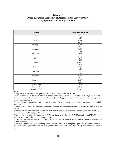## **Table VI-3 Probit Results for Probability of Response to the Survey (n=859) (asymptotic t-statistics in parentheses)**

| <b>Variable</b>  | <b>Estimated Coefficient</b> |
|------------------|------------------------------|
| dnonmin          | 0.743                        |
|                  | (1.46)                       |
| dchempet         | $-0.008$                     |
|                  | $(-0.03)$                    |
| dmcneqin         | $-0.076$                     |
|                  | $(-0.37)$                    |
| dtrcomut         | 0.020                        |
|                  | (0.06)                       |
| dwholret         | 0.035                        |
|                  | (0.11)                       |
| dfire            | $-0.047$                     |
|                  | $(-0.12)$                    |
| dserv            | $-0.586**$                   |
|                  | $(-2.02)$                    |
| dbusser          | 0.350                        |
|                  | (1.49)                       |
| dhealth          | $0.795**$                    |
|                  | (2.07)                       |
| $d$ puba $dm$    | $-0.215$                     |
|                  | $(-0.75)$                    |
| intercept        | $-1.418*$                    |
|                  | $(-8.73)$                    |
| Log likelihood   | $-220.297$                   |
| Psuedo $R^2$     | 0.043                        |
| Chi-squared (10) | 19.94**                      |

**Notes:**

\*\*\*significant at 0.10 level \*\*significant at 0.05 level \*significant at 0.01 level

The 16 observations in the miscellaneous category (members who could not be assigned to a 2-digit SIC industry or who were assigned to miscellaneous manufacturing) were dropped because the miscellaneous category predicted non-response perfectly.

*dnonmin* =1 for the agriculture, forestry, fisheries, minerals, and construction industries, and 0 otherwise; includes  $SICs < 20$ .

*dchempet* = 1 for chemicals, petroleum, and rubber, and miscellaneous plastics, and 0 otherwise; includes SICs 28, 29, and 30.

*dmcneqin* =1 for machinery and equipment, both non-electric and electric and electronic, and instruments, and 0 otherwise; includes SICs 35, 36, 37, and 38.

*dmats* = 1 for the remaining manufacturing SICs, and 0 otherwise; includes SICs 20 through 27 and SICs 31 through 34; observations with *dmats* = 1 are in the intercept.

*dtrcomut* = 1 for transportation, communications, and utilities, and 0 otherwise; includes all 2-digit SICs greater than 39 and less than 50.

*dwholret* = 1 for wholesaling and retailing, and 0 otherwise; includes all 2-digit SICs greater than 49 and less than 60.

*dfire* =1 for finance, insurance, and real estate, and 0 otherwise; includes all 2-digit SICs greater than 59 and less than 70.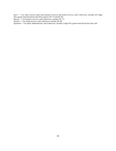*dserv* = 1 for other services other than business services and health services, and 0 otherwise; includes all 2-digit SICs greater than 69 and less than 90 except for SIC 73 and SIC 80.

*dbusser* = 1 for business services, and 0 otherwise; includes SIC 73.

*dhealth* = 1 for health services, and 0 otherwise; includes SIC 80.

*dpubadm* = 1 for public administration, and 0 otherwise; includes 2-digit SICs greater than 89 and less than 100.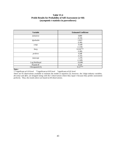## **Table VI-4 Probit Results for Probability of Self-Assessment (n=60) (asymptotic t-statistics in parentheses)**

| <b>Variable</b> | <b>Estimated Coefficient</b> |
|-----------------|------------------------------|
| dwholret        | 0.899                        |
|                 | (1.33)                       |
| dpubadm         | 1.932*                       |
|                 | (2.46)                       |
| comp            | $-0.189$                     |
|                 | $(-1.36)$                    |
| barg            | $0.234***$                   |
|                 | (1.80)                       |
| probres         | 4.248                        |
|                 | (1.25)                       |
| intercept       | $-1.276$                     |
|                 | $(-1.40)$                    |
| Log likelihood  | $-32.096$                    |
| Psuedo $R^2$    | 0.124                        |
| Chi-squared (5) | $9.11***$                    |

#### **Notes:**

\*\*\*significant at 0.10 level \*\*significant at 0.05 level \*significant at 0.01 level

There are 65 observations available to estimate the model in equation (2); however, the 2-digit industry variables, *dtrcomut* and *dfire*, are dropped along with the 5 observations where they equal 1 because they predict assessment perfectly. Thus, the results above are based on 60 observations.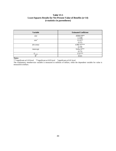## **Table VI-5 Least-Squares Results for Net Present Value of Benefits (n=14) (t-statistics in parentheses)**

| <b>Variable</b>   | <b>Estimated Coefficient</b> |
|-------------------|------------------------------|
| size              | $-83844.49**$                |
|                   | $(-2.48)$                    |
| size <sup>2</sup> | 13.33**                      |
|                   | (2.27)                       |
| dtrcomut          | $4.90e+07***$                |
|                   | (2.10)                       |
| intercept         | $9.45e+07**$                 |
|                   | (2.71)                       |
| $F_{(3,10)}$      | $3.51***$                    |
| $R^2$             | 0.513                        |

**Notes:**

\*\*\*significant at 0.10 level \*\*significant at 0.05 level \*significant at 0.01 level

The explanatory member-size variable is measured in millions of dollars, while the dependent variable for value is measured in dollars.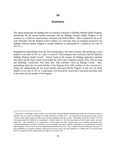## **VII**

## **Summary**

This report summarizes the findings from an economic evaluation of Baldrige National Quality Program. Specifically, the net private benefits associated with the Baldrige National Quality Program to the economy as a whole are conservatively estimated to be \$24.65 billion. When compared to the social costs associated with the Program of \$119 million, it is clear that, from an evaluation perspective, the Baldrige National Quality Program is socially beneficial as summarized by a benefit-to-cost ratio of 207-to-1.

Regarding the generalization from the ASQ membership to the entire economy, thus producing a social benefit-to-cost ratio of 207-to-1, only 11 of the 875 ASQ members have received to date the Malcolm Baldrige National Quality Award.<sup>30</sup> Clearly, based on the requests for Baldrige application materials and criteria and the many winners from outside the ASQ, many companies outside of the ASQ are using and benefiting—conceivably even more than ASQ members—from the Baldrige Criteria. Thus, generalizing about the net social benefits of the Program from ASQ members to the economy as a whole may underestimate the true social benefits associated with the Program. In that case, the social benefit-to-cost ratio of 207-to-1 understates, even beyond the conservative estimation procedure used in this study, the true benefits of the Program.

<sup>30</sup> One of the 11 Baldrige Award winners was among the 14 providing the detailed data about the net present value of benefits that was used to estimate the model reported in Table VI-5. Accounting for the presence of the Award winner in that sample does not affect the estimates obtained with the model. The model reported in Table VI-5 was reestimated with the addition of a qualitative variable equal to 1 for the observation of the Award winner and zero otherwise. The estimates of the parameters of the model and their significance were virtually unchanged (the estimated parameters and their t-statistics were essentially the same), and the coefficient on the qualitative variable indicating the Award winner was not significantly different from zero. The t-statistic for the coefficient was just 0.13 (the probability of a greater absolute value for the statistic given the null hypothesis is 0.896); the  $R^2$  increased from the 0.513 reported for the model shown in Table VI-5 to just 0.514.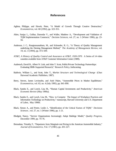## **References**

- Aghion, Philippe, and Howitt, Peter, "A Model of Growth Through Creative Destruction," *Econometrica*, vol. 60 (1992), pp. 323-351.
- Ahire, Sanjay L., Golhar, Damodar Y., and Waller, Matthew A., "Development and Validation of TQM Implementation Constructs," *Decision Sciences*, vol. 27, no. 1 (Winter 1996), pp. 23- 56.
- Anderson, J. C., Rungtunsanatham, M., and Schroeder, R. G., "A Theory of Quality Management underlying the Deming Management Method," *The Academy of Management Review*, vol. 19, no. 3 (1994), pp. 472-509.
- AT&T, *A History of Quality Control and Assurance at AT&T, 1920-1970*. A Series of 14 video cassettes available from AT&T Customer Information Center (1989).
- Audretsch, David B., Albert N. Link, and John T. Scott, Public/Private Technology Partnerships: Evaluating SBIR-Supported Research," *Research Policy*, forthcoming.
- Baldwin, William L., and Scott, John T., *Market Structure and Technological Change* (Chur: Harwood Academic Publishers, 1987).
- Berry, Steven, James Levinsohn, and Ariel Pakes, "Automobile Prices in Market Equilibrium," *Econometrica*, vol. 63, no. 4 (July 1995), pp. 841-890.
- Black, Sandra E., and Lynch, Lisa M., "Human Capital Investments and Productivity," *American Economic Review* (May 1996a).
- Black, Sandra E., and Lynch, Lisa M., "How to Compete: The Impact of Workplace Practices and Information Technology on Productivity," manuscript, Harvard University and U.S. Department of Labor, May 1996b.
- Black, Simon A., and Porter, Leslie J., "Identification of the Critical Factors of TQM," *Decisions Sciences* , vol. 27, no. 1 (Winter 1996), pp. 1-21.
- Blodgett, Nancy, "Service Organizations Increasingly Adopt Baldrige Model," *Quality Progress*, December 1999, pp. 74-76.
- Bresnahan, Timothy F., "Departures from Marginal-cost Pricing in the American Automobile Industry," *Journal of Econometrics*, Vol. 17 (1981), pp. 201-227.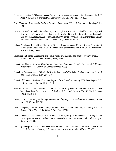- Bresnahan, Timothy F., "Competition and Collusion in the American Automobile Oligopoly: The 1995 Price War," *Journal of Industrial Economics*, Vol. 35, 1987, pp. 457-482.
- Bush, Vannevar, *Science—the Endless Frontier*. Washington, DC: U.S. Government Printing Office, 1945.
- Caballero, Ricardo J., and Jaffe, Adam B., "How High Are the Giants' Shoulders: An Empirical Assessment of Knowledge Spillovers and Creative Destruction in a Model of Economic Growth," *NBER Macroeconomics Annual 1993*, edited by Olivier Jean Blanchard and Stanley Fischer (Cambridge, Massachusetts: MIT Press, 1993), pp. 15-74.
- Cohen, W. M., and Levin, R. C., "Empirical Studies of Innovation and Market Structure," *Handbook of Industrial Organization*, Vol. II, edited by R. Schmalensee and R. D. Willig (Amsterdam: North-Holland, 1989).
- Committee on Science, Engineering, and Public Policy, *Evaluating Federal Research Programs*, Washington, DC: National Academy Press, 1999.
- Council on Competitiveness, *Building on Baldrige: American Quality for the 21st Century* (Washington, DC: Council on Competitiveness, 1995).
- Council on Competitiveness, "Quality is Key for Tomorrow's Workplace," *Challenges*, vol. 9, no. 7 (October/November 1996), pp. 1, 4.
- Council of Economic Advisers, *Economic Report of the President*, January 2001, Washington, D.C.: U.S. Government Printing Office, 2001.
- Feenstra, Robert C., and Levinsohn, James A., "Estimating Markups and Market Conduct with Multidimensional Product Attributes," *Review of Economic Studies*, Vol. 62, No. 1 (January 1995), pp. 19-52.
- Garvin, D. A., "Competing on the Eight Dimensions of Quality," *Harvard Business Review*, vol. 65, no. 6 (1987), pp. 101-109.
- George, Stephen, *The Baldrige Quality System: The Do-It-Yourself Way to Transform Your Business* (New York: John Wiley & Sons, Inc., 1992).
- George, Stephen, and Weimerskirch, Arnold, *Total Quality Management: Strategies and Techniques Proven at Today's Most Successful Companies* (New York: John Wiley & Sons, Inc., 1994).
- Goldberg, Pinelopi K., "Product Differentiation and Oligopoly in International Markets: The Case of the U.S. Automobile Industry," *Econometrica*, vol. 63, no. 4 (July 1995), pp. 891-951.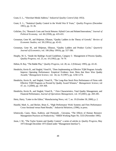- Grant, E. L., "Shewhart Medal Address," *Industrial Quality Control* (July 1953).
- Grant, E. L., "Statistical Quality Control in the World War II Years," *Quality Progress* (December 1991), pp. 31-36.
- Griliches, Zvi, "Research Costs and Social Returns: Hybrid Corn and Related Innovations," *Journal of Political Economy*, vol. 66 (1958), pp. 419-431.
- Grossman, Gene M., and Helpman, Elhanan, "Quality Ladders in the Theory of Growth," *Review of Economic Studies*, vol. 58 (1991a), pp. 43-61.
- Grossman, Gene M., and Helpman, Elhanan, "Quality Ladders and Product Cycles," *Quarterly Journal of Economics*, vol. 106 (May 1991b), pp. 557-586.
- Heaphy, M. S., "Inside the Baldrige Award Guidelines, Category 5: Management of Process Quality, *Quality Progress*, vol. 25, no. 10 (1992), pp. 74-79.
- Helton, B. Ray, "The Baldie Play," *Quality Progress*, vol. 28, no. 2 (February 1995), pp. 43-45.
- Hendricks, Kevin B., and Singhal, Vinod R., "Does Implementing an Effective TQM Program Actually Improve Operating Performance: Empirical Evidence from Firms that Have Won Quality Awards," *Management Science*, vol. 44, no. 9 (1997), pp. 1258-1274.
- Hendricks, Kevin B., and Singhal, Vinod R., "The Long-Run Stock Price Performance of Firms with Effective TQM Programs as Proxied by Quality Award Winners," *Management Science*, vol 47, no. 3 (2000), pp. 359-368.
- Hendricks, Kevin B., and Singhal, Vinod R., " Firm Characteristics, Total Quality Management, and Financial Performance, *Journal of Operations Management*, vol. 19 (2001), pp. 269-285.
- Hertz, Harry, "Letter to the Editor," Manufacturing News, vol. 7, no. 19 (October 30, 2000), p. 2.
- Huselid, Mark A., and Becker, Brian E., "High Performance Work Systems and Firm Performance: Cross-Sectional versus Panel Results," *Industrial Relations*, (1996), in press.
- Ichniowski, Casey, Shaw, Kathryn, and Prennushi , Giovanna, "The Effects of Human Resource Management Practices on Productivity," NBER Working Paper No. 5333 (November 1995).
- Juran, J. M., "The Taylor System and Quality Control," a series of articles in *Quality Progress*, May 1973 through December 1973 (listed under "Management Interface").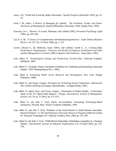- Juran, J. M., "World War II and the Quality Movement," *Quality Progress* (December 1991), pp. 19- 24.
- Juran, J. M., editor, *A History of Managing for Quality: The Evolution, Trends, and Future Directions of Managing for Quality* (Milwaukee, Wisconsin: ASQC Quality Press, 1995).
- Konczak, Lee J., "Review" of Lawler, Mohrman, and Ledford (1995), *Personnel Psychology* (April 1996), pp. 495-499.
- Lau, R. S. M., "A Survey of Competitiveness and Manufacturing Practices," *South Dakota Business Review*, vol. LIV, No. IV (June 1996), pp. 1, 4-9.
- Lawler, Edward E., III, Mohrman, Susan Albers, and Ledford, Gerald E., Jr., *Creating High Performance Organizations: Practices and Results of Employee Involvement and Total Quality Management in Fortune 1000 Companies* (San Francisco: Jossey-Bass, 1995).
- Link, Albert. N., *Technological Change and Productivity Growth* (Chur: Harwood Academic Publishers, 1987).
- Link, Albert N., "Economic Impact Assessment Guidelines for Conducting and Interpreting Assessment Studies," NIST Planning Report 96-1, 1996a.
- Link, Albert N., *Evaluating Public Sector Research and Development*, New York: Praeger Publishers, 1996b.
- Link, Albert N., and Tassey, Gregory, *Strategies for Technology-based Competition: Meeting the New Global Challenge* (Lexington, Massachusetts: Lexington Books, 1987).
- Link, Albert. N., Quick, Perry., and Tassey, Gregory., "Investments in Product Quality: A Descriptive Study of the US Optical Fiber Industry," *Omega: International Journal of Management Science*, vol. 19, no. 5 (1991), pp. 471-474.
- Link, Albert N. and John T. Scott, *Public Accountability: Evaluating Technology-Based Institutions*, Norwell, Mass.: Kluwer Academic Publishers, 1998.
- Link, Albert N., and John T. Scott, "Estimates of the Social Returns to Small Business Innovation Research Projects," in *The Small Business Innovation Research Program* (edited by Charles W. Wessner), Washington, DC: National Academy Press, 2000, pp. 275-290.
- Link, Albert N. and John T. Scott, "Public/Private Partnerships: Stimulating Competition in a Dynamic Market," *International Journal of Industrial Organization*, vol. 19 (April 2001), pp. 763- 794.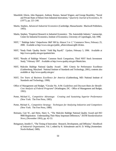- Mansfield, Edwin, John Rapoport, Anthony Romeo, Samuel Wagner, and George Beardsley, "Social and Private Rates of Return from Industrial Innovations*,*" *Quarterly Journal of Economics*, 91 (1977), pp. 221-240.
- Martin, Stephen, *Advanced Industrial Economics* (Cambridge, Massachusetts: Blackwell Publishers, 1993).
- Martin, Stephen, "Empirical Research in Industrial Economics: The Automobile Industry," manuscript, Centre for Industrial Economics, Institute of Economics, University of Copenhagen, July 1996.
- NIST, " 'Baldrige Index' Outperforms S&P 500 by Almost 5 to 1," Commerce News, February 25, 2000. Available at http://www.nist.gov/public\_affairs/releases/g00-26.htm.
- NIST, "Study Finds 'Quality Stocks' Yield Big Payoff," *Update*, February 5, 1996. Available at http://www.quality.nist.gov/qualstok.htm.
- NIST, "Results of Baldrige Winners' Common Stock Comparison, Third NIST Stock Investment Study," February 1997. Available at http://www.quality.nist.gov/96stok.htm.
- NIST, Malcolm Baldrige National Quality Award: 2001 Criteria for Performance Excellence (Gaithersburg, Maryland: National Institute of Standards and Technology, 2001), contents also available at http://www.quality.nist.gov/
- NIST, *Ten Years of Business Excellence for America* (Gaithersburg, MD: National Institute of Standards and Technology, 1998).
- Office of Management and Budget, "Circular No. A-94: *Guidelines and Discount Rates for Benefit-Cost Analysis of Federal Programs*" (Washington, DC: Office of Management and Budget, 1992).
- Porter, Michael E., *Competitive Advantage: Creating and Sustaining Superior Performance* (New York: The Free Press, 1985).
- Porter, Michael E., *Competitive Strategy: Techniques for Analyzing Industries and Competitors*  (New York: The Free Press, 1980).
- Reimann, Curt W., and Hertz, Harry S., "The Malcolm Baldrige National Quality Award and ISO 9000 Registration: Understanding Their Many Important Differences," *ASTM Standardization News*, (November 1993), pp. 42-53.
- Reinganum, Jennifer F., "The Timing of Innovation: Research, Development, and Diffusion," *Handbook of Industrial Organization*, Vol. I, edited by R. Schmalensee and R. D. Willig (Amsterdam: North-Holland, 1989).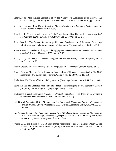- Scherer, F. M., "The Welfare Economics of Product Variety: An Application to the Ready-To-Eat Cereals Industry," *Journal of Industrial Economics*, vol. 28 (December 1979), pp. 113-134.
- Scherer, F. M., and Ross, David, *Industrial Market Structure and Economic Performance*, 3rd edition (Boston: Houghton Mifflin, 1990).
- Scott, John T., "Financing and Leveraging Public/Private Partnerships: The Hurdle-Lowering Auction," *STI (Science, Technology, Industry) Review*, vol. 23 (1998), pp. 67-84.
- Scott, John T., "The Service Sector's Acquisition and Development of Information Technology: Infrastructure and Productivity," *Journal of Technology Transfer*, vol. 24 (1999), pp. 37-54.
- Solow, Robert M., "Technical Change and the Aggregate Production Function," *Review of Economics and Statistics*, vol. 39 (August 1957), pp. 312-320.
- Sunday, J. L., and Liberty, L., "Benchmarking and the Baldrige Award," *Quality Progress*, vol. 25, no. 9 (1992), p. 75.
- Tassey, Gregory, *The Economics of R&D Policy* (Westport, Connecticut: Quorum Books, 1997).
- Tassey, Gregory, "Lessons Learned about the Methodology of Economic Impact Studies: The NIST Experience," *Evaluation and Program Planning*, vol. 22 (1999), pp. 113-119.
- Tirole, Jean, *The Theory of Industrial Organization* (Cambridge, Massachusetts: MIT Press, 1988).
- Townsend, Pat, and Gebhardt, Joan, "The Importance of the Baldrige to the US Economy," *Journal for Quality and Participation*, (July/August 1996), pp. 6-13.
- Trajtenberg, Manuel, *Economic Analysis of Product Innovation: The Case of CT Scanners*  (Cambridge, Massachusetts: Harvard University Press, 1990).
- U.S. General Accounting Office, *Management Practices: U.S. Companies Improve Performance Through Quality Efforts* (Washington, D.C.: General Accounting Office, GAO/NSIAD-91- 190, 1991).
- U.S. Census Bureau, *1997 Economic Census, 1987 SIC Basis, Sales, Receipts or Shipments in 1997*. Available at http://www.census.gov/epcd/ec97sic/E97SUS.HTM along with related material at http://www.census.gov/epcd/www/sic.html.
- Wisner, J. D., and Eakins, S. G., "A Performance Assessment of the U.S. Baldrige Quality Award Winners," *International Journal of Quality and Reliability Management*, vol. 11, no. 2 (1994), pp. 8-25.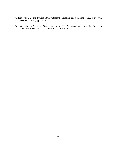- Wareham, Ralph E., and Stratton, Brad, "Standards, Sampling and Schooling," *Quality Progress* (December 1991), pp. 38-42.
- Working, Holbrook, "Statistical Quality Control in War Production," *Journal of the American Statistical Association*, (December 1945), pp. 425-447.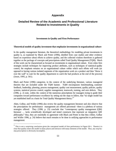## **Appendix**

## **Detailed Review of the Academic and Professional Literature Related to Investments in Quality**

### **Investments in Quality and Firm Performance**

### **Theoretical models of quality investment that emphasize investments in organizational culture**

In the quality management literature, the theoretical methodology for modeling private investments in quality is, as explained by Black and Porter (1996), distilled from case studies and other evidence based on experience about efforts to achieve quality, and the collected wisdom therefrom is gathered together as the package of concepts and prescriptions called Total Quality Management (TQM). Much of this work can be characterized as focused on investments in organizational culture. Even when firm strategies include techniques for improving product attributes, such as techniques of statistical quality control, the emphasis remains on an organizational culture within which such efforts will work (as opposed to having various isolated segments of the organization work on a product and then "throw it over the wall" to wait for the quality department to catch the bad products at the end of the process) (Juran, 1995, p. 561).

Black and Porter (1996) categorize, in the context of the underlying literature, various managerial theories that are included under the TQM banner. TQM encompasses benchmarking, customer feedback, leadership, planning, process management, quality cost measurement, quality policies, quality systems, statistical process control, supplier management, teamwork, training, and zero defects. They (1996, p. 2) note, within the context of the numerous prescriptions for managers trying to guide their companies toward performance excellence by setting out the steps to follow, that "no single model has yet established itself as a basis for Total Quality Management theory.<sup>331</sup>

Ahire, Golhar, and Waller (1996) also review the quality management literature and also observe that the prescriptions for performance management are offered piecemeal—there is a plethora of various strategies offered. They (1996, p. 23) conclude that "contemporary quality management (QM) literature … lacks scientifically developed and tested constructs that represent an integrative QM philosophy;" thus, they are essentially in agreement with Black and Porter in that they (Ahire, Golhar and Waller 1996, p. 24) believe that much remains to be done in unifying approaches to performance management:

<sup>&</sup>lt;sup>31</sup><br><sup>31</sup> This is not a surprising conclusion given the conceptual model of firm performance in Figure III-1. Therein it is clear that quality enters the model in many places and interacts with many elements of the model. Thus, any step-bystep prescription is obviously incomplete.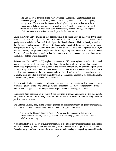The QM theory is far from being fully developed. Anderson, Rungtunsanatham, and Schroeder [1994] make the only known effort of synthesizing a theory of quality management. They assess the impact of Deming's management method on a firm's organizational behavior and practice of quality management. However, … this work suffers from a lack of systematic scale development, content validity, and empirical validation. Hence, it falls short on overall generalizability of results.

Black and Porter (1996) emphasize that because there is no single accepted theory of TQM, many firms have relied on quality award criteria to fashion their own TQM management practices. Such quality awards include the Deming Prize in Japan, the Malcolm Baldrige National Quality Award, and the European Quality Award. Designed to honor achievement of firms with successful quality management practices, the awards have certainly served as the basis for companies' own TQM policies. Indeed, George (1992) emphasizes the Baldrige Program's essence as a "Do-It-Yourself Assessment," and he also emphasizes that firms can use that assessment process to improve the performance of their overall operations.

Reimann and Hertz (1993, p. 52) explain, in contrast to ISO 9000 registration (which is a much narrower program in substance and procedure that is focused on conformity of specified operations to documented requirements to ensure buyers of the specified conformity), the primary purpose of the Baldrige Program is educational—to share learning about how firms can ensure overall operational excellence and to encourage the development and use of that learning by "... 1) promoting awareness of quality as an important element in competitiveness, 2) recognizing companies for successful quality strategies, and 3) fostering sharing of lessons learned."

The relevant literature supports the following interpretation: the criteria used to judge the most prominent quality award—the Baldrige Award—encompass the most comprehensive theory of performance management. That interpretation is expressed in the following proposition:

*Companies that endeavor to implement the business practices embodied in the non-results categories of the Malcolm Baldrige National Quality Award criteria will be more likely to exhibit performance excellence.* 

The Baldrige Criteria, then, define a theory, perhaps the preeminent theory, of quality management. That point is put more emphatically by George (1992, p. 267), who concludes:

The Malcolm Baldrige National Quality Award and the companies that have won it offer a beautiful melody, a do-it-yourself kit for transforming your organization. All that is left is the reaching.

A useful bridge from the theory of quality management to the empirical work describing and exploring its effects is provided by George and Weimerskirch (1994). They use the Baldrige Criteria as a model—a "model of integration" that provides a firm with a way of understanding and organizing its activities to be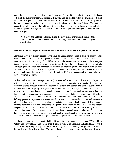more efficient and effective. For that reason George and Weimerskirch are classified here, in the theory section of the quality management literature. But, they also belong (below) in the empirical section of the quality management literature because they use the experiences of 53 leading U.S. companies to illustrate the model of total quality management that is defined by the Baldrige Criteria. They define a holistic theory of action with the Baldrige Criteria, and then they illustrate the theory with examples from leading companies. George and Weimerskirch (1994, p. 5) support the Baldrige Criteria as the leading model of TQM:

We believe the Baldrige [C]riteria define the new management model because they provide the best guide to understanding, assessing, controlling, and improving your organization*.*

#### **Theoretical models of quality investment that emphasize investments in product attributes**

Economists have not directly addressed the issue of management policies to promote quality. They have studied investments that can generate higher quality and more efficient firm performance investments in R&D and in product differentiation. The economists' niche within the conceptual literature focuses on investments in product attributes. Further, the related economic theory typically addresses questions other than management methods to improve quality, and instead focus on how characteristics of markets (such as the degree of competition in a market) and the broad characteristics of firms (such as the size or diversification of a firm) affect R&D investments which will ultimately lower costs or improve products.

Baldwin and Scott (1987), Reinganum (1989), Scherer and Ross (1990), and Martin (1993) provide reviews of the earlier theoretical economic literature studying innovative investments. There are two prominent strands of recent work in the economics literature that address the issue of quality; neither examines the issues of quality management addressed in the quality management literature. One strand of the recent economics literature is essentially a macroeconomic, international open economy literature grounded in the microeconomics of innovation. This is the "quality ladder" literature discussed briefly in Section II of this report. The other strand is a microeconomic literature that addresses the effects of differing qualities of a product in a market (local, domestic, or international). This second literature is refereed to herein as the "product-quality differentiation" literature. Both strands of this economic literature conclude that firms' investments in quality have important implications for the relative competitiveness and growth of entire nations, and of course the firms of those nations, as well as important implications for pricing and competitive position of companies within industries. This literature does not, however, speak to issues about which quality management practices to employ in which situation, or of how to effectively manage investments in quality or quality-related practices.

The theoretical portion of the "quality ladder" literature is in Grossman and Helpman (1991a, 1991b), Aghion and Howitt (1992) and papers cited therein, as well as in Caballero and Jaffe (1993)—which leads to the major empirical application of the "quality ladder" or "endogenous growth" literature as discussed in the following section. The recent theoretical literature brings together ideas from the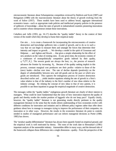microeconomic literature about Schumpeterian competition reviewed by Baldwin and Scott (1987) and Reinganum (1989) with the macroeconomic literature about the theory of growth evolving from the work of Solow (1957). These models have been used to address broad, aggregate international economics issues—such as appropriate trade policies and intellectual property policies in the presence of spillovers of knowledge—about the rates of growth in industrialized countries pioneering innovations and in countries whose entrepreneurs imitate those innovations.

Caballero and Jaffe (1993, pp. 16-17) describe the "quality ladder" theory in the context of their version of the model which they develop to frame their empirical study:

Our aim … is to create a framework for incorporating the microeconomics of creative destruction and knowledge spillovers into a model of growth, and to do so in such a way that we can begin to measure them and untangle the forces that determine their intensity and impact on growth. … We develop a model in the spirit of Grossman and Helpman … and Aghion and Howitt … that gives a simple relationship for the effect of new products on the value of existing ones. At any given time, the economy consists of a continuum of monopolistically competitive goods indexed by their quality, *q* ? (?? ,*N<sup>t</sup>* ]. The newest goods are always the best, i.e., the process of research advances the frontier by increasing  $N_t$ . Because of the quality ranking implicit in this process, constant marginal cost producers see their profits—relative to those of the (new) leader—decline over time. The rate of decline depends (positively) on the degree of substitutability between new and old goods and on the pace at which new goods are introduced. This captures the endogenous process of creative destruction described earlier and … yields intuitive equations relating the rate of growth in a firm's value relative to that of the industry to the firm's number of new ideas relative to the industry average. By relating the concept of new ideas to that of new patents, it is possible to use these equations to gauge the empirical magnitude of creative destruction.

The messages within the "quality ladder," endogenous growth literature are clearly of direct interest to managers. What could be more fundamental than the story of how innovation improves the quality of goods and thereby erodes the market position of laggards who do not keep pace? Equally clearly, however, the "quality ladder" literature is not generating results directly pertinent to the quality management literature in the sense that the results inform understanding of how economies evolve with different conditions for innovation and imitation and in different policy regimes rather than offer direct guidance about how to manage to managers trying to improve the performance of their companies, via innovation or in other ways. However, the results in the economics literature do point to controls needed in studies of managerial performance and can inform managerial decisions as Porter (1980, 1985) has shown.

The "product-quality differentiation" literature has always been squarely footed on empirical ground, and the empirical work is well motivated by theory. The roots of the work date to Bresnahan's (1981) important analysis of the automobile industry. Automobiles differ in many ways, and the demand side of the framework collapses those differences into a single dimension—quality. From the perspective of the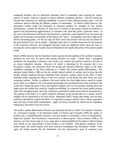managerial literature, such an abstraction eliminates much of importance since ensuring the various aspects of quality would be expected to require different managerial practices. And the framework assumes that consumers are uniformly distributed—in terms of their preferred product types—over the continuous interval reflecting the different qualities of automobiles. As Martin (1996) observes, this assumption violates reality and eliminates an important problem for managers of new product developments—namely the decision of what sorts of varieties of the product should be produced to appeal to the discontinuous agglomerations of customers who, herd-like, prefer a particular variety. In any case, in the theoretical framework, the demand for a particular variety depends on its own price and quality and on the prices and qualities of the products are "close"—immediately to the left or right on the interval measuring quality. On the cost side, the firm's total costs increase with not only the amount of the good produced, but with its quality. Although surely that is a sensible abstraction for the purposes of the economics literature, the managerial literature needs the additional details about the costs of ensuring the various aspects of quality that are eliminated in the simple abstraction of the product-quality model.

Martin (1996) observes that the theoretical model assumes that the qualities of the varieties of products produced by each firm are given; then pricing decisions are made. Clearly from a managerial standpoint, the assumption is restrictive, since rivalry over varieties and qualities would be a key part of an actual competitive situation. However, the model is interesting for the purposes that it was developed—namely, the framework shows the pricing and allocative efficiency aspects of the Nash equilibrium emerging for the firms producing in a market with product-quality differentiation. The principal results (Martin, 1996) are that the socially optimal number of varieties may be fewer than the number actually produced (because individual firms introduce varieties based on the effect on their individual profits, ignoring the effects of their own products on the profits that other firms earn from competing varieties. Further, in addition to the usual welfare loss from higher prices caused by market power, there is in addition to the conventional deadweight loss (resulting because some consumers who would have bought the good if price had equaled marginal costs do not purchase anything given the higher price) the welfare loss caused by "quality downshifting" as consumers buy lower quality products rather than the higher quality ones they would have purchased if market power had not increased price. The purpose of the theory is to inform empirical estimation of the pricing effects in a market, and the findings will be summarized in the next section. Bresnahan (1987), among other things, uses the basic model just described to explore the effects of cooperation among a market's firms, where cooperation takes the form of joint profit maximization. Again, the theory provides the framework for hypothesis testing that is described in the next section.

The product-quality differentiation literature has blossomed into the so-called "new hedonics" literature. As a prominent example, in the theoretical model of Feenstra and Levinsohn (1995) the quality of products has a multidimensional character; with each product is associated a vector of characteristics. Again, the "quality," here the product's characteristics, is taken as given. Thus, as Martin (1996, p. 14) observes, just the second stage of a two-stage game is being modeled; the first stage in which rivalrous firms decide on the characteristics of their products is not modeled. With greater complexity of the product space, the model requires even more restrictive assumptions than Bresnahan's model. Once again, the model assumes that the distribution over the characteristics space of customers most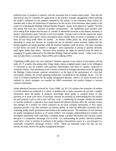preferred types of products is uniform, with the associated loss of realism noted earlier. Note that the abstractions may be a problem for applications to the practice of quality management without reducing the model's usefulness for the purposes intended by the authors, so the comments about realism are intended only to draw the distinctions of importance for this review of the literatures about quality in the context of evaluating the Baldrige National Quality Program. Again, costs depend on "quality," but here that means that costs are a function of product characteristics. The equilibrium price structure with price-setting firms implies that the price of a model of automobile increases as the distance increases, in product characteristics space, between it and rival models. Feenstra and Levinsohn explore the nature of the equilibrium prices given various assumptions about whether firms set prices or quantities or some firms do one thing while others do another. As Martin (1996) points out, these possibilities are interesting in actual fact, because for example the use of voluntary export restraints implies that the foreign suppliers are setting quantities while the domestic suppliers could set prices. The basic messages of such theory are surely of interest to managers—some approaches to pricing or quantity decisions yield higher profits than others. However, these questions are rather far removed from the issues of managing for quality addressed by the Malcolm Baldrige National Quality Award. Other work in this area includes Berry, Levinsohn, Pakes (1995) and Goldberg (1995).

Trajtenberg (1990) places the "new hedonics" literature squarely in the context of innovations with his study of CT scanners that among other things relates citation-weighted patent counts to the willingness of consumers to pay for scanners with particular characteristics and hence to "quality" measured as consumer welfare. Such pioneering work is clearly of interest to managers pursuing success by applying the Baldrige Criteria because customer satisfaction is at the heart of the performance of a firm that successfully achieves the overall operating performance exemplified by the Baldrige Award. Yet, the work is of indirect importance for the quality management literature, which is of course focused on the methods by which managers can marshal the R&D investments and product designs to increase customer satisfaction.

Earlier theoretical literature reviewed by Tirole (1988, pp. 95-131) explores the economics of markets in which products are produced in a variety of qualities and at times consumers do not have complete information about the quality of products—knowledge about quality is acquired before or after purchase, or in some cases never. Economists' interests are primarily in understanding how the markets for such products work as well as how well they work— considering, for example, whether the number of varieties produced is optimal or how moral hazard and adverse selection affect the warranty system that emerges for a product for which customers do not have complete information, or how repeat purchases provide a way that customers can monitor quality, or when the difficulties consumers face in evaluating quality justify government intervention in the market process. The usefulness of such literature for quality management practices is, of course, indirect. For example, understanding how markets with incomplete information work could help a company design a product information and warranty system that gave it a competitive advantage over its rivals. Or, understanding the product selection problem, could allow a firm to position its products in the product characteristics space in a way that gave it a sustainable competitive advantage (Scherer, 1979). These are important issues, but they are not directly the issues faced in the quality management literature.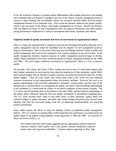In all, the economics literature on product-quality differentiation offers insights about price-cost margins and competition that is of interest to managers; however, in the context of quality management issues of concern to those working with the Baldrige Criteria, the economics literature differs from the quality management literature in two important ways. First, at best the literature addresses just product quality, which is just one aspect of the holistic, total quality management set of issues. Second, the literature does not address the issues of which management tools can improve performance, but rather predicts pricing performance conditional on a variety of assumptions about firms, customers, and markets.

#### **Empirical models of quality investment that focus on investments in organizational culture**

There is a large and important body of empirical work that has developed information about the use of quality management and has tested the hypothesis that the adoption of such management practices improves performance. Much of the work in this area uses the Baldrige National Criteria to define total quality management and to test for the importance of its various categories in use and in results. In the quality management literature, empirical analyses of quality management practices began to develop rapidly, clearly stimulated by the newly awakened interests in quality management during the late 1980s and 1990s. The work largely emphasizes investments in organizational culture as a way to improve quality.

For example, Link, Quick, and Tassey (1991) compare the firms in the U.S. optical fiber industry with their foreign competitors by surveying the firms about the proportions of their operations, capital, R&D, and overhead budgets that are devoted to quality assurance and about the functional objectives of their quality budgets. Thus, the Link, Quick, and Tassey study looks at the whole firm and implicitly measures investments in both organizational culture and product attributes. However, the focus is on gaining understanding of the successful organization's orientation toward quality, and like most of the literature that is focused directly on management for quality, the study is then developing understanding of the orientation, in a broad sense the culture, of successful companies in their pursuit of quality. The U.S. firms were the dominant firms in the industry in the early 1990s, and the empirical methodology of the authors allows inferences about the link from quality investments to international competitiveness. The U.S. firms invested more—three to four times more—of their operations, capital, R&D, and overhead budgets in quality assurance, and within their quality budgets themselves they focused more attention, than their less successful foreign rivals did, on improving manufacturability and improving product performance.

Some studies explore the effects of using the Baldrige Criteria to implement quality management policies. The U.S. General Accounting Office (1991) found that firm performance was improved by the quality efforts of the highest scoring Baldrige Award applicants in 1988 and 1989. As reviewed by Black and Porter (1996, p. 2):

The evidence from this small sample suggested that the organizations achieved improved employee relations, better quality, lower costs, greater customer satisfaction, improved market share and improved profitability. Common features appearing in these high-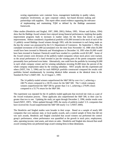scoring organizations were customer focus, management leadership in quality values, employee involvement, an open corporate culture, fact-based decision making and partnerships with suppliers. This report offers sound evidence supporting the relevance of implementing and maintaining TQM as defined by the Baldrige assessment framework.

Other studies (Hendricks and Singhal, 1997, 2000, 2001); Helton, 1995; Wisner and Eakins, 1994) show that the Baldrige Award winners have enjoyed strong financial performances, implying that quality improvement programs leads to increases in market values for the firms that invest in quality improvements. Helton considered a hypothetical portfolio of \$1,000 invested in the stock of each of the 11 publicly owned Baldrige Award winners through 1993, with the investment in each being made on the day the winner was announced by the U.S. Department of Commerce. By September 1, 1994, the cumulated investment of \$11,000 (accumulated over the time from November 14, 1988 when \$1,000 would have been invested in Motorola and Westinghouse to December 14, 1993 when \$1,000 would have been invested in Eastman Chemical) would have resulted in a portfolio worth \$21,887. Some of the Award winners were divisions of the publicly traded companies whose stock prices were tracked, so the actual performance of a fund invested in just the winning parts of the parent companies would presumably have performed even better. Alternatively, one could form the portfolio by investing \$1,000 in each whole company winner and for winning subsidiaries investing \$1,000 times the percent of the whole company employment taken by the winning subsidiary. NIST actually did this experiment and others (NIST, Feb. 5, 1996) and for each MBNQA portfolio constructed compared the results with portfolios formed simultaneously by investing identical dollar amounts at the identical times in the Standard & Poor's (S&P) 500. As of August 1, 1995:

The 14 publicly-traded winners outperformed the S&P 500 by over 4 to 1, achieving a 248.7% return compared to a 58.5% return for the S&P 500. The 5 whole company winners outperformed the S&P 500 by greater than 5 to 1, achieving a 279.8% return compared to a 55.7% return for the S&P 500.

The experiment was repeated for the 41 publicly-traded applicants that received site visits as a part of the Award evaluation process. These applicants also outperformed the S&P 500, in their case by greater than two to one. Updating the study yet again through December 2, 1996, similar results were found (NIST, 1997). When updated through 1999, the stocks of publicly-traded U.S. companies that have received the Award outperformed the S&P 500 nearly 5 to 1 (NIST 2000).

The Hendricks and Singhal studies were broader in their scope. Based on a sample of nearly 600 companies that won national, state, or local quality awards, and a control sample of firms that did not win such awards, Hendricks and Singhal concluded that award winners out performed the control group's performance, where performance was quantified as the growth in stock price, employment, sales, operating income, total assets, and return on sales. Hendricks and Singhal also showed that small award-winning firms out performed large award-winning firms in these dimensions.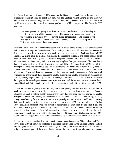The Council on Competitiveness (1995) report on the Baldrige National Quality Program reaches conclusions consistent with the belief that firms use the Baldrige Award Criteria to form their own performance management programs and consistent with the hypothesis that such programs have significantly improved the competitiveness and performance of U.S. companies. The Council (1995) observes:

The Baldrige National Quality Award and its state and local offshoots have been key to the effort to strengthen U.S. competitiveness. The annual government investment . . . in this program is leveraged by . . . private sector contributions. The impact of the Baldrige Award on the competitiveness of U.S. industry and the dividends it pays to the U.S. economy far exceed these investments.

Black and Porter (1996) try to identify the factors that are critical to the success of quality management and thereby try to improve the usefulness of the Baldrige Criteria as a self-assessment framework for firms using them to implement their own quality management programs. Black and Porter (1996) extracted 32 items from the Baldrige Criteria for the nonresults categories and added another seven items to cover issues that they believed were not adequately covered in the framework. The resulting 39 items were then listed in a questionnaire sent to a sample of European managers. Black and Porter then used factor analysis to identify ten critical factors of TQM. Black and Porter (1996, pp. 20-21) developed the following descriptive labels for the ten factors: (i) people and customer management, (ii) supplier partnerships, (iii) communication of improvement information, (iv) customer satisfaction orientation, (v) external interface management, (vi) strategic quality management, (vii) teamwork structures for improvement, (viii) operational quality planning, (ix) quality improvement measurement systems, and (x) corporate quality culture. Of course, the descriptive labels are attempts to summarize the import of the several questionnaire items associated with each factor, and interested readers should consult Black and Porter directly for the list of items appearing in each of their critical factors for TQM.

Like Black and Porter (1996), Ahire, Golhar, and Waller (1996) conclude that the large number of quality management strategies need to be integrated into a holistic, well-integrated strategy. Because agreement on such a holistic quality management policy does not exist, they first analyze the quality management literature to identify 12 key constructs of integrated quality management strategies. They survey manufacturing firms to test the constructs empirically and validate their usefulness, comparing their own formulation with other comprehensive approaches to TQM. Ahire, Golhar, and Waller (1996) provide an excellent review of several of earlier studies (apart from the important Black and Porter study which appeared simultaneously with their own and which is discussed above) that attempt to identify the key constructs of a holistic approach to quality management. As they observe, the earlier studies complement their own, but the Black and Porter (1996) and Ahire, Golhar, and Waller (1996) studies draw on a larger body of literature to develop their quality management constructs to be tested.

The twelve constructs developed from the quality management literature by Ahire, Golhar, and Waller (1996) bear a strong family resemblance to the ideas encompassed in the Baldrige Criteria. Indeed, after studying the details of the seven criteria (NIST, 1997) the twelve constructs can readily be assigned to various parts of the seven criteria. Indeed, the criteria are frequently among the sources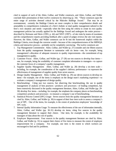cited in support of each of the Ahire, Golhar, and Waller constructs, and Ahire, Golhar, and Waller conclude their presentation of their twelve constructs by observing (p. 34): "These constructs span the entire range of activities deemed critical by the Malcolm Baldrige Award." That may be an overstatement; certainly the Baldrige Criteria are more complex in their comprehensive details and amenability to comprehensive evaluation of a firm's holistic or total quality management tailored to the firm's own situation and needs—especially when the firm using the criteria to create its own quality management policies has actually applied for the Baldrige Award and undergoes the entire process described by Reimann and Hertz (1993, p. 44) and NIST (1997)—of site visits by teams of examiners and the comprehensive reports providing feedback after a panel of judges reviews the site visit reports. However, the Ahire, Golhar, and Waller constructs can be fit into the framework implicit within the Baldrige Criteria, even though the converse would—because of the comprehensiveness of the MBNQA criteria and interactive process—probably not be completely convincing. The twelve constructs are:

- 1. Top Management Commitment: Ahire, Golhar, and Waller (p. 27) consider and cite fifteen sources from the quality management literature to summarize with six items—one, for example, being management's allocation of adequate resources to quality improvements—the commitment of top management to quality.
- 2. Customer Focus: Ahire, Golhar, and Waller (pp. 27-28) use ten sources to develop four items one, for example, being the availability of customer complaint information to managers—to capture the customer focus of a company's quality management.
- 3. Supplier Quality Management: Ahire, Golhar, and Waller (p. 28) develop a six-item scale including, for example, the consideration of the supplier's delivery performance—to represent the effectiveness of management of supplier quality from seven sources.
- 4. Design Quality Management: Ahire, Golhar, and Waller (p. 29) use eleven sources to develop six items—for example, one of the items is emphasis on the design team's marketing experience—to evaluate a company's management of design quality.
- 5. Benchmarking: Citing just two sources, but observing that benchmarking, the use in quality management of analysis of best practices—products and processes—of leading competitors, has been extensively discussed in the quality management literature, Ahire, Golhar, and Waller (pp. 29- 30) develop five items—including, for example, the emphasis the company places on benchmarking competitors products and processes—to measure a company's use of benchmarking.
- 6. Statistical Process Control (SPC) Usage: Seven sources from the quality management literature are cited by Ahire, Golhar, and Waller (p. 30) in support of their four-item scale to assess a company's use of SPC. One of the items, for example, is the extent of production employees' knowledge of SPC tools.
- 7. Internal Quality Information Usage: To measure the effectiveness of the use of information internally, Ahire, Golhar, and Waller (pp. 30-31) develop six items, citing five sources in the quality management literature to support their choice. One item, for example, is the availability for managers of data about the cost of quality.
- 8. Employee Empowerment: Four sources in the quality management literature are cited by Ahire, Golhar, and Waller (p. 31) to support their choice of five items to measure the extent of employee empowerment for a company. For example, one item is the extent to which workers are encouraged to find and fix problems.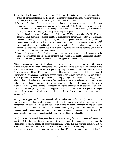- 9. Employee Involvement: Ahire, Golhar, and Waller (pp. 31-32) cite twelve sources to support their choice of eight items to represent the extent of a company's strategy for employee involvement. For example, the availability of profit-sharing programs is one of the items.
- 10. Employee Training: The quality management literature emphasizes the importance of training employees in quality management, and Ahire, Golhar, and Waller (p. 32) cite eleven sources to support their choice of five items—for example, one of the items is the availability of resources for training—to measure a company's strategy for training employees.
- 11. Product Quality: Ahire, Golhar, and Waller (pp. 32-33) review Garvin's (1987) rather comprehensive definition of product quality as encompassing performance, features, conformance, reliability, durability, serviceability, aesthetics, and perceived quality. Because their survey of quality management strategies focused solely on the automotive components manufacturing industry (SIC 3714), not all of Garvin's quality attributes were relevant, and Ahire, Golhar, and Waller use just four of his eight items and added two more of their own, citing four sources from the QM literature in addition to Garvin to support their choices.
- 12. Supplier Performance: Ahire, Golhar, and Waller (p. 34) measure supplier performance with six items, supporting their choices with references to five sources in the quality management literature. For example, among the items is the willingness of suppliers to improve quality.

Ahire, Golhar, and Waller empirically validate their twelve quality management constructs with a survey of manufacturers of automotive components, having the respondents evaluate the importance of the various items for a company's quality management by using a 7-point Likert scale to assess each item. For one example, with the fifth construct, benchmarking, the respondent evaluated five items, one of which was "We are engaged in extensive benchmarking of competitors' products that are similar to our primary product," by using a 7-point scale (1 = strongly disagree, 4 = neutral, 7 = strongly agree). Ahire, Golhar, and Waller used confirmatory factor analysis to refine and validate their construct scales and then estimated correlations among the twelve constructs that they had developed from their review of the quality management literature. Correlations among the constructs are all positive, which Ahire, Golhar, and Waller (p. 41) believe ". . . supports the notion that the quality management strategies should be implemented holistically rather than piecemeal. Many of these constructs exhibit synergy with one another."

Among other suggestions for future research, Ahire, Golhar, and Waller (p. 47) observe: ". . . the constructs developed here could be used in subsequent empirical research on integrated quality management strategies to develop and test causal models of quality management implementation effectiveness." Lau (1996, p. 6) also suggests the use of survey data, about the importance of various aspects of quality management, to test hypotheses about how various human and technical factors affect quality and about how quality management affects a firm's profitability and quality.

Lau (1996) has developed descriptive data about manufacturing firms in computer and electronics industries (SIC 357 and 367) and proposes to use the data for hypothesis testing about the effectiveness of various aspects of quality management. These data thus provide information about manufacturers in different industries other than the Ahire, Golhar, and Waller sample, and Lau's 7-point Likert scale survey covered the importance of a somewhat different set of factors that potentially affect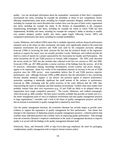quality. Lau has developed information about the respondents' assessment of their firm's competitive environment (six items, including for example the possibility or threat of new competition), factors affecting competitiveness (nine items, including for example innovative designs), workforce (ten items, including for example how much discretion line workers have over the pace of their work), organization (ten items, including for example the clarity of the division of responsibilities in the company), manufacturing technologies (ten items, including for example the extent to which TQM has been implemented), flexibility (ten items, including for example the company's ability to develop or modify new product designs), product quality (ten items—again largely following Garvin, 1987), and comparative performance (ten items, including for example profitability).

Lawler, Mohrman, and Ledford (1995) report that in multiple regression analyses financial performance measures such as the return on sales, investment, and equity were significantly related to the extent that employee involvement (EI) practices and TQM were used by the companies surveyed, although Konczak (1996) in reviewing the book criticizes the fact that the technical details of the regression analysis to support the report were not actually provided. Lawler, Mohrman, and Ledford provide the third in a series of reports for a project sponsored by the Association for Quality and Participation. The series documents the EI and TQM practices in Fortune 1000 companies. The 1995 work describes the survey results for 1993, but also includes data collected in the first two surveys in 1987 and 1990. Konczak (1996, pp. 497-498) provides a concise overview of the findings from the surveys: all of the EI practices—information sharing, knowledge development, reward systems, and power sharing appear to be important; about five-sixths of the respondents reported an increase in the use of TQM practices since the 1990 survey; most respondents believe that EI and TQM practices improve performance; and—although Konczak (1996, p.498) observes that the information is less convincing because detailed statistical support is not shown—the practices appear to improve performance somewhat, explaining a statistically significant but small amount of the variance in performance. Konczak (p. 498), continuing with the useful overview of the work, believes that the LML data characterizing the types of companies and their business environments "confirm what most readers have probably learned from their own experiences (e.g., EI and TQM are likely to be adopted when an organization faces tough competitive pressure)." The Lawler, Mohrman, and Ledford monograph, which Konczak (p. 498) considers "the best source currently available that provides an inside view (i.e., the senior management point of view) of employee involvement and total quality management practices in large organizations," concludes with a look at the future of quality management practices and finds that an increase in investments in quality management is planned by most firms.

Like the quality management literature, the economics literature has recently begun to provide some evidence to support the importance of quality management for firm performance. One theme that emerges is the importance of deploying systems of quality management practices—coherent policies that combine many individual practices into a holistic focus on improving quality performance. That message from the economics literature's empirical contributions to the study of management decisions to improve quality is in accord with the findings in the quality management literature itself.

Ichniowski, Shaw, and Prennushi (1995 at http://www.nber.org) emphasize the need for packaging complementary quality management tools to improve human resource policy: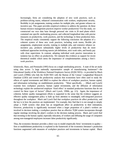Increasingly, firms are considering the adoption of new work practices, such as problem-solving teams, enhanced communication with workers, employment security, flexibility in job assignments, training workers for multiple jobs, and greater reliance on incentive pay. This paper provides empirical evidence to address the question: do these human resource management practices improve worker productivity? For this study, we constructed our own data base through personal site visits to 26 steel plants which contained one specific steelmaking process, and collected longitudinal data with precise measures on productivity, work practices, and the technology in these production lines. The empirical results consistently support the following conclusion: the adoption of a coherent system of these new work practices, including work teams, flexible job assignments, employment security, training in multiple jobs, and extensive reliance on incentive pay, produces substantially higher levels of productivity than do more traditional approaches involving narrow job definitions, strict work rules, and hourly pay with close supervision. In contrast, adopting individual work practice innovations in isolation has no effect on productivity. We interpret this evidence as support for recent theoretical models which stress the importance of complementarities among a firm's work practices.

Ichniowski, Shaw, and Prennushi (1995) focus on a single steelmaking process. A state of the art study using data across "a large nationally representative sample of manufacturing businesses"—the Educational Quality of the Workforce National Employers Survey (EQW-NES)—is provided by Black and Lynch (1996b) who link the EQW-NES with the Bureau of the Census' Longitudinal Research Database (LRD) and extend the productivity analysis that economists have often used to study the effects of capital investments and R&D to explore the effects of workplace practices, human capital, and information technology on establishment productivity. "More specifically, … [Black and Lynch] examine how workplace practices, human capital investments, and the diffusion of information technology explain the unobserved employer 'fixed effect' in standard production functions that do not control for these types of factors" (Black and Lynch, 1996b, pp. 2-3). Again, the importance of coherent, holistic quality management efforts is supported in the sense that the evidence suggests an effective quality management policy is built up from attention to meaningful, well-integrated practices throughout the workplace. Black and Lynch find that workplace practices do affect productivity, and the key is in how the practices are implemented. For example, they find that it is not enough to simply adopt a TQM system—that alone has an insignificant affect on productivity in their estimations. However, productivity is significantly increased when a larger proportion of a plant's workers are involved in decision making, a workplace practice that an effective TQM system incorporates through regular meetings involving the plant's workers in the decision making process. Black and Lynch find that investing in the human capital, especially education, of workers and diffusing the usage of computers among non-managerial employees increases labor productivity significantly.

Thus, the economics literature provides a direct way to model empirically firms' investments in quality firm or establishment productivity is explored in the framework of the economics literature's production functions augmented with measures of workplace practices and investments in human capital. Black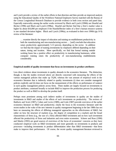and Lynch provide a review of the earlier efforts in that direction and then provide an improved analysis using the Educational Quality of the Workforce National Employers Survey matched with the Bureau of the Census Longitudinal Research Database to provide evidence in both cross section and panel data. Especially noteworthy among the earlier works reviewed by Black and Lynch (1996b) are Huselid and Becker (1996) and Black and Lynch (1996a). Huselid and Becker find that a firm's market value is higher by about \$16,000 per employee if the Huselid/Becker index of a firm's human resource systems is one standard deviation higher. Black and Lynch (1996a), as evaluated in their own 1996b (pp. 8-9) review of the literature:

… examine directly the impact of education and training on establishment productivity in both the manufacturing and non-manufacturing sectors … [and] conclude that education raises productivity approximately 5-13 percent, depending on the sector. In addition we find that the impact of training investments by employers differed depending on their nature, timing and location. More specifically, we find that formal training outside working hours has a positive effect on productivity in manufacturing businesses, while computer training raises the productivity of non-manufacturing establishments considerably.

#### **Empirical models of quality investment that focus on investments in product attributes**

Less direct evidence about investments in quality abounds in the economics literature. The distinction, though, is that the studies reviewed above are directly concerned with measuring the effects of the various managerial policies that make up TQM, whereas the vast amount of empirical work in the economics literature that is indirectly related to quality investments (i) does not consider managerial policies explicitly and (ii) does not focus on the measurement of the effects on performance of variance in such quality management policies across firms. These studies are largely focused on investments in product attributes, construed broadly to include R&D to improve the production process for producing the product as well as R&D to develop the product itself.

Perhaps most prominent among such indirect studies of investments in quality are the studies of investments in R&D and studies of the effects of such investments on productivity. The reviews of Baldwin and Scott (1987), Cohen and Levin (1989), and Link (1987) provide overviews of the earlier economics literature on R&D and productivity; clearly the focus in the economics literature until the recent studies in the wake of the new interests in quality management beginning in the late 1980s has not been on measuring the effects of differing managerial approaches on the effectiveness of R&D, but rather on how the structure of markets (e.g., the degree of competition in a market) and the broad characteristics of firms (e.g., the size of a firm) affected R&D investment and on how such investment affected the productivity of firms and industries and even entire economies. Scherer and Ross (1990) and Martin (1993) are good sources of overviews of the focus of economists' concerns as they have conducted empirical work on R&D investments and more generally on investments in products and processes—including investments in product differentiation other than R&D investments—that firms make to improve their performance. Of course, the recent quality management literature reviewed in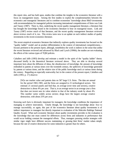this report cites, and has built upon, studies that combine the insights in the economics literature with a focus on management issues. Among the first studies to exploit the complementarities between the economics and managerial literatures and to combine economists' knowledge about R&D investments with recommendations for managerial policies increasing international competitiveness of firms was Link and Tassey (1987). There is, then, underlying the recent quality management literature, a literature that has brought the knowledge found in the economics literature to bear on managerial issues. Link and Tassey (1987) review much of that literature, and the recent quality management literature reviewed above reviews much of it, too. This review turns now to an update on such indirect studies of quality investments in the recent economics literature.

The recent empirical economics literature that indirectly explores quality investments has focused on the "quality ladder" model and on product differentiation in the context of international competitiveness focuses pertinent to the present report, although, nonetheless the work is indirect in the sense that unlike the recent literature reviewed and advanced by Black and Lynch (1996b), the studies are not evaluating the effects of the various types of TQM policies.

Caballero and Jaffe (1993) develop and estimate a model in the spirit of the "quality ladder" theory discussed briefly in the theoretical literature reviewed above. They are able to develop several important facts about the diffusion of ideas, the obsolescence of knowledge, the amount of knowledge embodied in patents at various times over the twentieth century, the spillovers of knowledge generated by patents at various times, and the relative size of the public knowledge stock at various times during the century. Regarding an especially noteworthy fact in the context of the present report, Caballero and Jaffe (1993, p. 17) observe:

[W]e use market value and patents data on 567 large U.S. firms. The data are annual for the period 1965-1981, and the firms are assigned to 21 technological sectors. We estimate 21 sectoral panels and find that, on average (over time and sectors), creative destruction is about 4% per year. That is, in an average sector in an average year a firm that does not invent sees its value relative to that of the industry erode by about 4%. This number varies widely across sectors; drugs have the largest average creative destruction, with about 25% per year.

Knowing such facts is obviously important for managers; the knowledge conditions the importance of managing to achieve innovations. Clearly though, the knowledge is not knowledge about *how* to manage successfully, so again, this part of the economics literature about quality investments is of indirect importance to managers but directly important to evaluation of the Malcolm Baldrige National Quality Award. What such economic literature about quality investments provides to the evaluation is the knowledge that one must control for differences across firms and industries in performance that would occur holding constant the managerial efforts. Thus, managers pursuing similar strategies with similar vigor might have different success maintaining or growing their firms' market values simply because the rate of creative destruction for some industries is greater than for others.